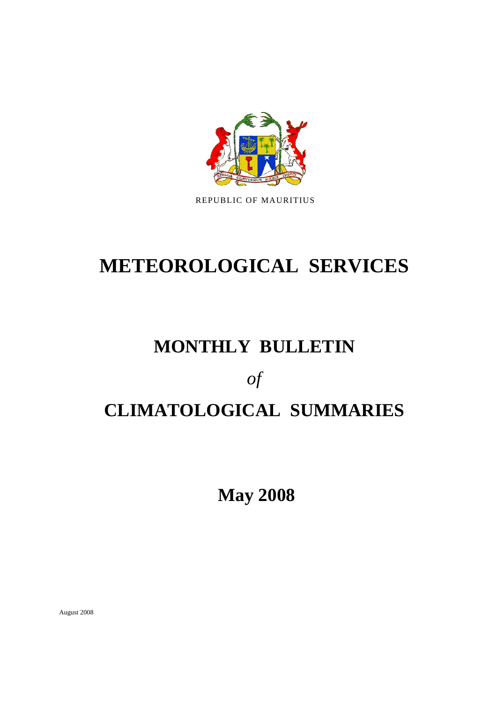

REPUBLIC OF MAURITIUS

# **METEOROLOGICAL SERVICES**

# **MONTHLY BULLETIN**

*of* 

# **CLIMATOLOGICAL SUMMARIES**

 **May 2008** 

August 2008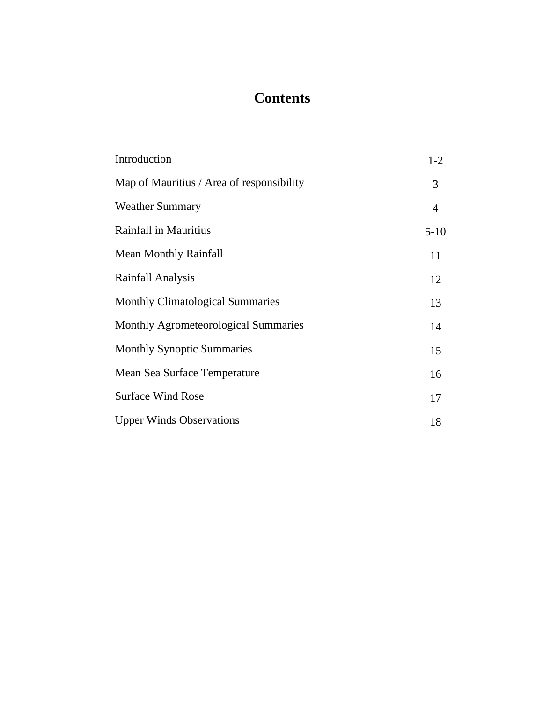## **Contents**

| Introduction                              | $1-2$  |
|-------------------------------------------|--------|
| Map of Mauritius / Area of responsibility | 3      |
| <b>Weather Summary</b>                    | 4      |
| Rainfall in Mauritius                     | $5-10$ |
| <b>Mean Monthly Rainfall</b>              | 11     |
| Rainfall Analysis                         | 12     |
| <b>Monthly Climatological Summaries</b>   | 13     |
| Monthly Agrometeorological Summaries      | 14     |
| <b>Monthly Synoptic Summaries</b>         | 15     |
| Mean Sea Surface Temperature              | 16     |
| <b>Surface Wind Rose</b>                  | 17     |
| <b>Upper Winds Observations</b>           | 18     |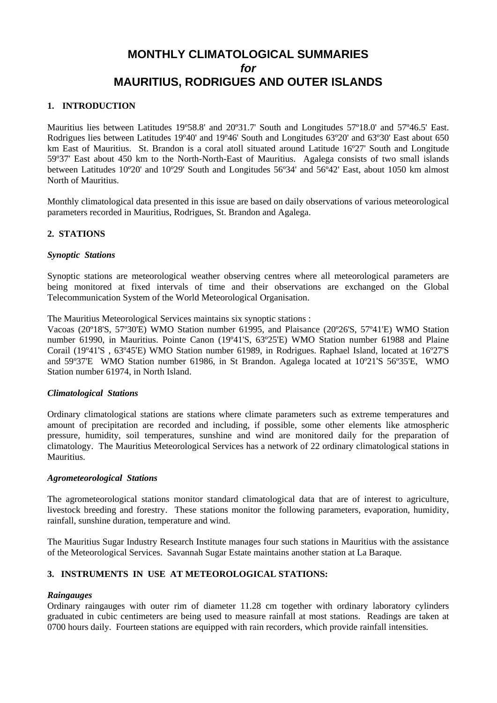## **MONTHLY CLIMATOLOGICAL SUMMARIES**  *for*  **MAURITIUS, RODRIGUES AND OUTER ISLANDS**

#### **1. INTRODUCTION**

Mauritius lies between Latitudes 19º58.8' and 20º31.7' South and Longitudes 57º18.0' and 57º46.5' East. Rodrigues lies between Latitudes 19º40' and 19º46' South and Longitudes 63º20' and 63º30' East about 650 km East of Mauritius. St. Brandon is a coral atoll situated around Latitude 16º27' South and Longitude 59º37' East about 450 km to the North-North-East of Mauritius. Agalega consists of two small islands between Latitudes 10º20' and 10º29' South and Longitudes 56º34' and 56º42' East, about 1050 km almost North of Mauritius.

Monthly climatological data presented in this issue are based on daily observations of various meteorological parameters recorded in Mauritius, Rodrigues, St. Brandon and Agalega.

#### **2. STATIONS**

#### *Synoptic Stations*

Synoptic stations are meteorological weather observing centres where all meteorological parameters are being monitored at fixed intervals of time and their observations are exchanged on the Global Telecommunication System of the World Meteorological Organisation.

The Mauritius Meteorological Services maintains six synoptic stations :

Vacoas (20º18'S, 57º30'E) WMO Station number 61995, and Plaisance (20º26'S, 57º41'E) WMO Station number 61990, in Mauritius. Pointe Canon (19º41'S, 63º25'E) WMO Station number 61988 and Plaine Corail (19º41'S , 63º45'E) WMO Station number 61989, in Rodrigues. Raphael Island, located at 16º27'S and 59º37'E WMO Station number 61986, in St Brandon. Agalega located at 10º21'S 56º35'E, WMO Station number 61974, in North Island.

#### *Climatological Stations*

Ordinary climatological stations are stations where climate parameters such as extreme temperatures and amount of precipitation are recorded and including, if possible, some other elements like atmospheric pressure, humidity, soil temperatures, sunshine and wind are monitored daily for the preparation of climatology. The Mauritius Meteorological Services has a network of 22 ordinary climatological stations in Mauritius.

#### *Agrometeorological Stations*

The agrometeorological stations monitor standard climatological data that are of interest to agriculture, livestock breeding and forestry. These stations monitor the following parameters, evaporation, humidity, rainfall, sunshine duration, temperature and wind.

The Mauritius Sugar Industry Research Institute manages four such stations in Mauritius with the assistance of the Meteorological Services. Savannah Sugar Estate maintains another station at La Baraque.

#### **3. INSTRUMENTS IN USE AT METEOROLOGICAL STATIONS:**

#### *Raingauges*

Ordinary raingauges with outer rim of diameter 11.28 cm together with ordinary laboratory cylinders graduated in cubic centimeters are being used to measure rainfall at most stations. Readings are taken at 0700 hours daily. Fourteen stations are equipped with rain recorders, which provide rainfall intensities.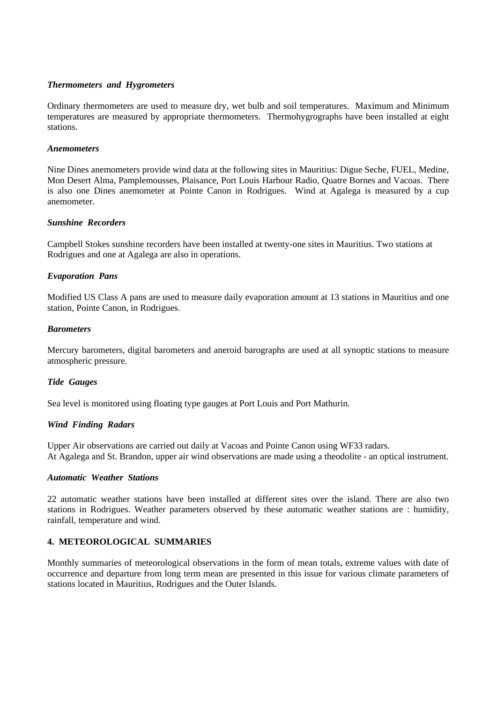#### *Thermometers and Hygrometers*

Ordinary thermometers are used to measure dry, wet bulb and soil temperatures. Maximum and Minimum temperatures are measured by appropriate thermometers. Thermohygrographs have been installed at eight stations.

#### *Anemometers*

Nine Dines anemometers provide wind data at the following sites in Mauritius: Digue Seche, FUEL, Medine, Mon Desert Alma, Pamplemousses, Plaisance, Port Louis Harbour Radio, Quatre Bornes and Vacoas. There is also one Dines anemometer at Pointe Canon in Rodrigues. Wind at Agalega is measured by a cup anemometer.

#### *Sunshine Recorders*

Campbell Stokes sunshine recorders have been installed at twenty-one sites in Mauritius. Two stations at Rodrigues and one at Agalega are also in operations.

#### *Evaporation Pans*

Modified US Class A pans are used to measure daily evaporation amount at 13 stations in Mauritius and one station, Pointe Canon, in Rodrigues.

#### *Barometers*

Mercury barometers, digital barometers and aneroid barographs are used at all synoptic stations to measure atmospheric pressure.

#### *Tide Gauges*

Sea level is monitored using floating type gauges at Port Louis and Port Mathurin.

#### *Wind Finding Radars*

Upper Air observations are carried out daily at Vacoas and Pointe Canon using WF33 radars. At Agalega and St. Brandon, upper air wind observations are made using a theodolite - an optical instrument.

#### *Automatic Weather Stations*

22 automatic weather stations have been installed at different sites over the island. There are also two stations in Rodrigues. Weather parameters observed by these automatic weather stations are : humidity, rainfall, temperature and wind.

#### **4. METEOROLOGICAL SUMMARIES**

Monthly summaries of meteorological observations in the form of mean totals, extreme values with date of occurrence and departure from long term mean are presented in this issue for various climate parameters of stations located in Mauritius, Rodrigues and the Outer Islands.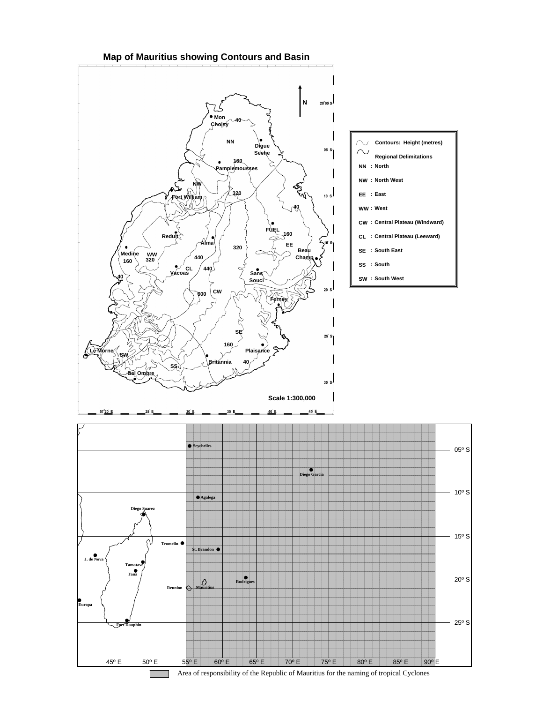#### **Map of Mauritius showing Contours and Basin**

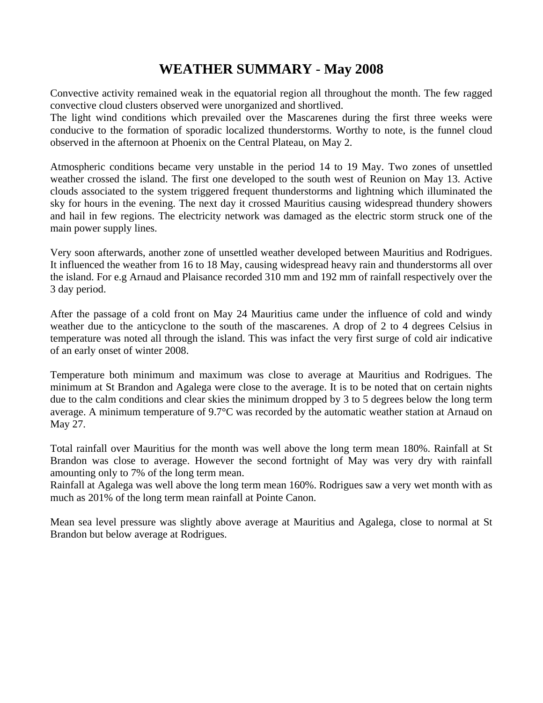## **WEATHER SUMMARY** - **May 2008**

Convective activity remained weak in the equatorial region all throughout the month. The few ragged convective cloud clusters observed were unorganized and shortlived.

The light wind conditions which prevailed over the Mascarenes during the first three weeks were conducive to the formation of sporadic localized thunderstorms. Worthy to note, is the funnel cloud observed in the afternoon at Phoenix on the Central Plateau, on May 2.

Atmospheric conditions became very unstable in the period 14 to 19 May. Two zones of unsettled weather crossed the island. The first one developed to the south west of Reunion on May 13. Active clouds associated to the system triggered frequent thunderstorms and lightning which illuminated the sky for hours in the evening. The next day it crossed Mauritius causing widespread thundery showers and hail in few regions. The electricity network was damaged as the electric storm struck one of the main power supply lines.

Very soon afterwards, another zone of unsettled weather developed between Mauritius and Rodrigues. It influenced the weather from 16 to 18 May, causing widespread heavy rain and thunderstorms all over the island. For e.g Arnaud and Plaisance recorded 310 mm and 192 mm of rainfall respectively over the 3 day period.

After the passage of a cold front on May 24 Mauritius came under the influence of cold and windy weather due to the anticyclone to the south of the mascarenes. A drop of 2 to 4 degrees Celsius in temperature was noted all through the island. This was infact the very first surge of cold air indicative of an early onset of winter 2008.

Temperature both minimum and maximum was close to average at Mauritius and Rodrigues. The minimum at St Brandon and Agalega were close to the average. It is to be noted that on certain nights due to the calm conditions and clear skies the minimum dropped by 3 to 5 degrees below the long term average. A minimum temperature of 9.7°C was recorded by the automatic weather station at Arnaud on May 27.

Total rainfall over Mauritius for the month was well above the long term mean 180%. Rainfall at St Brandon was close to average. However the second fortnight of May was very dry with rainfall amounting only to 7% of the long term mean.

Rainfall at Agalega was well above the long term mean 160%. Rodrigues saw a very wet month with as much as 201% of the long term mean rainfall at Pointe Canon.

Mean sea level pressure was slightly above average at Mauritius and Agalega, close to normal at St Brandon but below average at Rodrigues.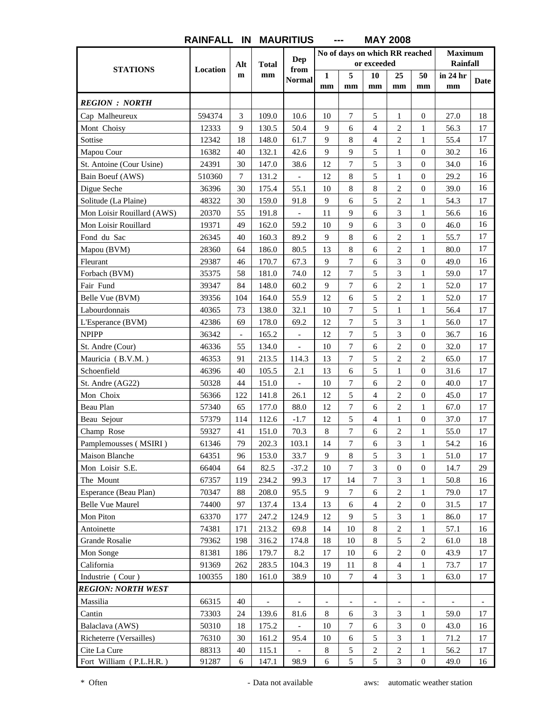|                            |          | Alt                      | <b>Total</b>             | <b>Dep</b>               |                          | No of days on which RR reached | or exceeded              |                  |                  | <b>Maximum</b><br><b>Rainfall</b> |                          |
|----------------------------|----------|--------------------------|--------------------------|--------------------------|--------------------------|--------------------------------|--------------------------|------------------|------------------|-----------------------------------|--------------------------|
| <b>STATIONS</b>            | Location | $\mathbf m$              | mm                       | from                     | 1                        | 5                              | 10                       | 25               | 50               | in 24 hr                          |                          |
|                            |          |                          |                          | <b>Normal</b>            | mm                       | mm                             | mm                       | mm               | mm               | mm                                | Date                     |
| <b>REGION : NORTH</b>      |          |                          |                          |                          |                          |                                |                          |                  |                  |                                   |                          |
| Cap Malheureux             | 594374   | 3                        | 109.0                    | 10.6                     | 10                       | $\tau$                         | 5                        | $\mathbf{1}$     | $\boldsymbol{0}$ | 27.0                              | 18                       |
| Mont Choisy                | 12333    | 9                        | 130.5                    | 50.4                     | 9                        | 6                              | $\overline{4}$           | $\overline{c}$   | 1                | 56.3                              | 17                       |
| Sottise                    | 12342    | 18                       | 148.0                    | 61.7                     | 9                        | 8                              | $\overline{4}$           | $\overline{c}$   | $\mathbf{1}$     | 55.4                              | 17                       |
| Mapou Cour                 | 16382    | 40                       | 132.1                    | 42.6                     | 9                        | 9                              | 5                        | $\mathbf{1}$     | 0                | 30.2                              | 16                       |
| St. Antoine (Cour Usine)   | 24391    | 30                       | 147.0                    | 38.6                     | 12                       | 7                              | 5                        | 3                | 0                | 34.0                              | 16                       |
| Bain Boeuf (AWS)           | 510360   | 7                        | 131.2                    | $\overline{\phantom{a}}$ | 12                       | 8                              | 5                        | 1                | $\boldsymbol{0}$ | 29.2                              | 16                       |
| Digue Seche                | 36396    | 30                       | 175.4                    | 55.1                     | 10                       | 8                              | 8                        | 2                | $\boldsymbol{0}$ | 39.0                              | 16                       |
| Solitude (La Plaine)       | 48322    | 30                       | 159.0                    | 91.8                     | 9                        | 6                              | 5                        | $\overline{c}$   | $\mathbf{1}$     | 54.3                              | 17                       |
| Mon Loisir Rouillard (AWS) | 20370    | 55                       | 191.8                    |                          | 11                       | 9                              | 6                        | 3                | 1                | 56.6                              | 16                       |
| Mon Loisir Rouillard       | 19371    | 49                       | 162.0                    | 59.2                     | 10                       | 9                              | 6                        | 3                | $\boldsymbol{0}$ | 46.0                              | 16                       |
| Fond du Sac                | 26345    | 40                       | 160.3                    | 89.2                     | 9                        | 8                              | 6                        | $\overline{c}$   | 1                | 55.7                              | 17                       |
| Mapou (BVM)                | 28360    | 64                       | 186.0                    | 80.5                     | 13                       | 8                              | 6                        | $\mathfrak{2}$   | 1                | 80.0                              | 17                       |
| Fleurant                   | 29387    | 46                       | 170.7                    | 67.3                     | 9                        | $\tau$                         | 6                        | 3                | $\boldsymbol{0}$ | 49.0                              | 16                       |
| Forbach (BVM)              | 35375    | 58                       | 181.0                    | 74.0                     | 12                       | $\tau$                         | 5                        | 3                | $\mathbf{1}$     | 59.0                              | 17                       |
| Fair Fund                  | 39347    | 84                       | 148.0                    | 60.2                     | 9                        | $\tau$                         | 6                        | $\overline{c}$   | $\mathbf{1}$     | 52.0                              | 17                       |
| Belle Vue (BVM)            | 39356    | 104                      | 164.0                    | 55.9                     | 12                       | 6                              | 5                        | $\overline{c}$   | 1                | 52.0                              | 17                       |
| Labourdonnais              | 40365    | 73                       | 138.0                    | 32.1                     | 10                       | $\tau$                         | 5                        | $\mathbf{1}$     | $\mathbf{1}$     | 56.4                              | 17                       |
| L'Esperance (BVM)          | 42386    | 69                       | 178.0                    | 69.2                     | 12                       | $\tau$                         | 5                        | 3                | 1                | 56.0                              | 17                       |
| <b>NPIPP</b>               | 36342    | $\overline{\phantom{a}}$ | 165.2                    | $\overline{a}$           | 12                       | $\tau$                         | 5                        | 3                | $\mathbf{0}$     | 36.7                              | 16                       |
| St. Andre (Cour)           | 46336    | 55                       | 134.0                    | $\overline{\phantom{a}}$ | 10                       | $\tau$                         | 6                        | $\overline{c}$   | 0                | 32.0                              | 17                       |
| Mauricia (B.V.M.)          | 46353    | 91                       | 213.5                    | 114.3                    | 13                       | $\overline{7}$                 | 5                        | $\overline{c}$   | 2                | 65.0                              | 17                       |
| Schoenfield                | 46396    | 40                       | 105.5                    | 2.1                      | 13                       | 6                              | 5                        | $\mathbf{1}$     | $\overline{0}$   | 31.6                              | 17                       |
| St. Andre (AG22)           | 50328    | 44                       | 151.0                    |                          | 10                       | 7                              | 6                        | $\overline{2}$   | $\overline{0}$   | 40.0                              | 17                       |
| Mon Choix                  | 56366    | 122                      | 141.8                    | 26.1                     | 12                       | 5                              | $\overline{4}$           | $\overline{c}$   | $\boldsymbol{0}$ | 45.0                              | 17                       |
| Beau Plan                  | 57340    | 65                       | 177.0                    | 88.0                     | 12                       | $\tau$                         | 6                        | $\overline{c}$   | 1                | 67.0                              | 17                       |
| Beau Sejour                | 57379    | 114                      | 112.6                    | $-1.7$                   | 12                       | 5                              | $\overline{4}$           | $\mathbf{1}$     | $\boldsymbol{0}$ | 37.0                              | 17                       |
| Champ Rose                 | 59327    | 41                       | 151.0                    | 70.3                     | $8\,$                    | $\tau$                         | 6                        | $\mathbf{2}$     | 1                | 55.0                              | 17                       |
| Pamplemousses (MSIRI)      | 61346    | 79                       | 202.3                    | 103.1                    | 14                       | $\boldsymbol{7}$               | $\sqrt{6}$               | 3                | $\mathbf{1}$     | 54.2                              | 16                       |
| <b>Maison Blanche</b>      | 64351    | 96                       | 153.0                    | 33.7                     | 9                        | 8                              | 5                        | 3                | 1                | 51.0                              | 17                       |
| Mon Loisir S.E.            | 66404    | 64                       | 82.5                     | $-37.2$                  | 10                       | 7                              | 3                        | $\boldsymbol{0}$ | $\boldsymbol{0}$ | 14.7                              | 29                       |
| The Mount                  | 67357    | 119                      | 234.2                    | 99.3                     | 17                       | 14                             | $\tau$                   | 3                | $\mathbf{1}$     | 50.8                              | 16                       |
| Esperance (Beau Plan)      | 70347    | 88                       | 208.0                    | 95.5                     | 9                        | $\boldsymbol{7}$               | 6                        | 2                | $\mathbf{1}$     | 79.0                              | 17                       |
| <b>Belle Vue Maurel</b>    | 74400    | 97                       | 137.4                    | 13.4                     | 13                       | $\sqrt{6}$                     | $\overline{4}$           | $\sqrt{2}$       | $\boldsymbol{0}$ | 31.5                              | 17                       |
| Mon Piton                  | 63370    | 177                      | 247.2                    | 124.9                    | 12                       | 9                              | 5                        | 3                | 1                | 86.0                              | 17                       |
| Antoinette                 | 74381    | 171                      | 213.2                    | 69.8                     | 14                       | 10                             | $\,8\,$                  | $\sqrt{2}$       | 1                | 57.1                              | 16                       |
| <b>Grande Rosalie</b>      | 79362    | 198                      | 316.2                    | 174.8                    | 18                       | 10                             | $\,8\,$                  | 5                | 2                | 61.0                              | 18                       |
| Mon Songe                  | 81381    | 186                      | 179.7                    | 8.2                      | 17                       | 10                             | 6                        | $\sqrt{2}$       | $\boldsymbol{0}$ | 43.9                              | 17                       |
| California                 | 91369    | 262                      | 283.5                    | 104.3                    | 19                       | 11                             | $\,8\,$                  | $\overline{4}$   | 1                | 73.7                              | 17                       |
| Industrie (Cour)           | 100355   | 180                      | 161.0                    | 38.9                     | 10                       | $\tau$                         | $\overline{4}$           | 3                | $\mathbf{1}$     | 63.0                              | 17                       |
| <b>REGION: NORTH WEST</b>  |          |                          |                          |                          |                          |                                |                          |                  |                  |                                   |                          |
| Massilia                   | 66315    | 40                       | $\overline{\phantom{a}}$ |                          | $\overline{\phantom{a}}$ |                                | $\overline{\phantom{0}}$ |                  |                  |                                   | $\overline{\phantom{a}}$ |
| Cantin                     | 73303    | 24                       | 139.6                    | 81.6                     | 8                        | 6                              | $\mathfrak{Z}$           | 3                | 1                | 59.0                              | 17                       |
| Balaclava (AWS)            | 50310    | 18                       | 175.2                    |                          | 10                       | $\boldsymbol{7}$               | 6                        | 3                | $\overline{0}$   | 43.0                              | 16                       |
| Richeterre (Versailles)    | 76310    | $30\,$                   | 161.2                    | 95.4                     | 10                       | 6                              | 5                        | $\mathfrak{Z}$   | 1                | 71.2                              | 17                       |
| Cite La Cure               | 88313    | 40                       | 115.1                    |                          | 8                        | $\mathfrak s$                  | $\sqrt{2}$               | $\sqrt{2}$       | 1                | 56.2                              | 17                       |
| Fort William (P.L.H.R.)    | 91287    | 6                        | 147.1                    | 98.9                     | 6                        | 5                              | 5                        | 3                | $\overline{0}$   | 49.0                              | 16                       |

#### **MAY 2008 RAINFALL IN MAURITIUS ---**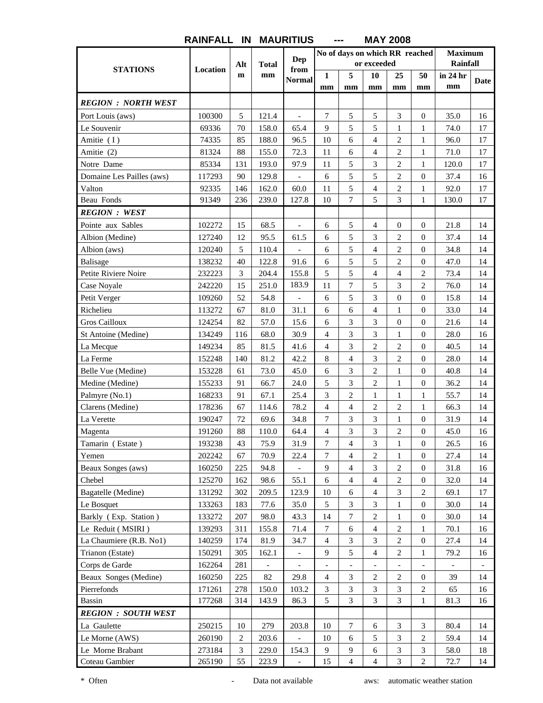|                            |          |                |                | Dep                      |                          |                          | or exceeded              | No of days on which RR reached |                          | <b>Maximum</b>           |                          |
|----------------------------|----------|----------------|----------------|--------------------------|--------------------------|--------------------------|--------------------------|--------------------------------|--------------------------|--------------------------|--------------------------|
| <b>STATIONS</b>            | Location | Alt            | <b>Total</b>   | from                     |                          |                          |                          |                                |                          | Rainfall                 |                          |
|                            |          | $\mathbf m$    | mm             | <b>Normal</b>            | $\mathbf{1}$<br>mm       | 5<br>mm                  | 10<br>mm                 | 25<br>mm                       | 50<br>mm                 | in 24 hr<br>mm           | Date                     |
|                            |          |                |                |                          |                          |                          |                          |                                |                          |                          |                          |
| <b>REGION : NORTH WEST</b> |          |                |                |                          |                          |                          |                          |                                |                          |                          |                          |
| Port Louis (aws)           | 100300   | 5              | 121.4          | $\overline{a}$           | 7                        | 5                        | 5                        | 3                              | $\boldsymbol{0}$         | 35.0                     | 16                       |
| Le Souvenir                | 69336    | 70             | 158.0          | 65.4                     | 9                        | 5                        | 5                        | $\mathbf{1}$                   | $\mathbf{1}$             | 74.0                     | 17                       |
| Amitie (I)                 | 74335    | 85             | 188.0          | 96.5                     | 10                       | 6                        | $\overline{4}$           | $\overline{c}$                 | 1                        | 96.0                     | 17                       |
| Amitie (2)                 | 81324    | 88             | 155.0          | 72.3                     | 11                       | 6                        | $\overline{4}$           | $\overline{c}$                 | $\mathbf{1}$             | 71.0                     | 17                       |
| Notre Dame                 | 85334    | 131            | 193.0          | 97.9                     | 11                       | 5                        | 3                        | $\overline{c}$                 | 1                        | 120.0                    | 17                       |
| Domaine Les Pailles (aws)  | 117293   | 90             | 129.8          | $\overline{\phantom{a}}$ | 6                        | 5                        | 5                        | $\overline{c}$                 | $\boldsymbol{0}$         | 37.4                     | 16                       |
| Valton                     | 92335    | 146            | 162.0          | 60.0                     | 11                       | 5                        | $\overline{4}$           | $\overline{c}$                 | 1                        | 92.0                     | 17                       |
| Beau Fonds                 | 91349    | 236            | 239.0          | 127.8                    | 10                       | $\tau$                   | 5                        | 3                              | $\mathbf{1}$             | 130.0                    | 17                       |
| <b>REGION : WEST</b>       |          |                |                |                          |                          |                          |                          |                                |                          |                          |                          |
| Pointe aux Sables          | 102272   | 15             | 68.5           | $\overline{a}$           | 6                        | 5                        | $\overline{4}$           | $\boldsymbol{0}$               | $\boldsymbol{0}$         | 21.8                     | 14                       |
| Albion (Medine)            | 127240   | 12             | 95.5           | 61.5                     | 6                        | 5                        | 3                        | $\overline{c}$                 | $\overline{0}$           | 37.4                     | 14                       |
| Albion (aws)               | 120240   | 5              | 110.4          |                          | 6                        | 5                        | $\overline{4}$           | $\mathbf{2}$                   | 0                        | 34.8                     | 14                       |
| <b>Balisage</b>            | 138232   | 40             | 122.8          | 91.6                     | 6                        | 5                        | 5                        | $\overline{c}$                 | $\boldsymbol{0}$         | 47.0                     | 14                       |
| Petite Riviere Noire       | 232223   | 3              | 204.4          | 155.8                    | 5                        | 5                        | $\overline{4}$           | $\overline{\mathcal{L}}$       | 2                        | 73.4                     | 14                       |
| Case Noyale                | 242220   | 15             | 251.0          | 183.9                    | 11                       | $\overline{7}$           | 5                        | 3                              | $\overline{c}$           | 76.0                     | 14                       |
| Petit Verger               | 109260   | 52             | 54.8           | $\overline{\phantom{a}}$ | 6                        | 5                        | 3                        | $\boldsymbol{0}$               | $\boldsymbol{0}$         | 15.8                     | 14                       |
| Richelieu                  | 113272   | 67             | 81.0           | 31.1                     | 6                        | 6                        | $\overline{4}$           | $\mathbf{1}$                   | $\boldsymbol{0}$         | 33.0                     | 14                       |
| <b>Gros Cailloux</b>       | 124254   | 82             | 57.0           | 15.6                     | 6                        | 3                        | 3                        | $\boldsymbol{0}$               | $\overline{0}$           | 21.6                     | 14                       |
| St Antoine (Medine)        | 134249   | 116            | 68.0           | 30.9                     | $\overline{4}$           | 3                        | 3                        | $\mathbf{1}$                   | 0                        | 28.0                     | 16                       |
| La Mecque                  | 149234   | 85             | 81.5           | 41.6                     | $\overline{4}$           | 3                        | $\overline{2}$           | $\overline{2}$                 | $\boldsymbol{0}$         | 40.5                     | 14                       |
| La Ferme                   | 152248   | 140            | 81.2           | 42.2                     | 8                        | $\overline{4}$           | 3                        | $\overline{c}$                 | 0                        | 28.0                     | 14                       |
| Belle Vue (Medine)         | 153228   | 61             | 73.0           | 45.0                     | 6                        | 3                        | $\overline{2}$           | $\mathbf{1}$                   | $\boldsymbol{0}$         | 40.8                     | 14                       |
| Medine (Medine)            | 155233   | 91             | 66.7           | 24.0                     | 5                        | 3                        | $\overline{2}$           | $\mathbf{1}$                   | $\overline{0}$           | 36.2                     | 14                       |
| Palmyre (No.1)             | 168233   | 91             | 67.1           | 25.4                     | $\mathfrak{Z}$           | $\overline{c}$           | $\mathbf{1}$             | $\mathbf{1}$                   | $\mathbf{1}$             | 55.7                     | 14                       |
| Clarens (Medine)           | 178236   | 67             | 114.6          | 78.2                     | $\overline{4}$           | $\overline{4}$           | $\overline{c}$           | $\overline{c}$                 | 1                        | 66.3                     | 14                       |
| La Verette                 | 190247   | 72             | 69.6           | 34.8                     | $\tau$                   | 3                        | 3                        | $\mathbf{1}$                   | 0                        | 31.9                     | 14                       |
| Magenta                    | 191260   | 88             | 110.0          | 64.4                     | $\overline{4}$           | 3                        | 3                        | $\overline{c}$                 | 0                        | 45.0                     | 16                       |
| Tamarin (Estate)           | 193238   | 43             | 75.9           | 31.9                     | $\boldsymbol{7}$         | $\overline{4}$           | 3                        | $\,1$                          | $\boldsymbol{0}$         | 26.5                     | 16                       |
| Yemen                      | 202242   | 67             | 70.9           | 22.4                     | $\tau$                   | $\overline{4}$           | $\overline{2}$           | $\mathbf{1}$                   | $\overline{0}$           | 27.4                     | 14                       |
| Beaux Songes (aws)         | 160250   | 225            | 94.8           |                          | 9                        | $\overline{\mathcal{L}}$ | 3                        | 2                              | 0                        | 31.8                     | 16                       |
| Chebel                     | 125270   | 162            | 98.6           | 55.1                     | $\sqrt{6}$               | $\overline{4}$           | $\overline{4}$           | $\mathbf{2}$                   | $\overline{0}$           | 32.0                     | 14                       |
| Bagatelle (Medine)         | 131292   | 302            | 209.5          | 123.9                    | 10                       | 6                        | $\overline{4}$           | 3                              | 2                        | 69.1                     | 17                       |
| Le Bosquet                 | 133263   | 183            | 77.6           | 35.0                     | 5                        | $\mathfrak{Z}$           | $\overline{3}$           | $\,1$                          | $\boldsymbol{0}$         | 30.0                     | 14                       |
| Barkly (Exp. Station)      | 133272   | 207            | 98.0           | 43.3                     | 14                       | 7                        | $\mathbf{2}$             | 1                              | 0                        | 30.0                     | 14                       |
| Le Reduit (MSIRI)          | 139293   | 311            | 155.8          | 71.4                     | $\tau$                   | $\sqrt{6}$               | $\overline{4}$           | $\mathbf{2}$                   | 1                        | 70.1                     | 16                       |
| La Chaumiere (R.B. No1)    | 140259   | 174            | 81.9           | 34.7                     | $\overline{4}$           | 3                        | $\overline{3}$           | $\overline{c}$                 | $\boldsymbol{0}$         | 27.4                     | 14                       |
| Trianon (Estate)           | 150291   | 305            | 162.1          |                          | 9                        | 5                        | $\overline{4}$           | 2                              | 1                        | 79.2                     | 16                       |
| Corps de Garde             | 162264   | 281            | $\blacksquare$ | $\blacksquare$           | $\overline{\phantom{a}}$ | $\overline{\phantom{0}}$ | $\overline{\phantom{a}}$ | $\overline{\phantom{m}}$       | $\overline{\phantom{a}}$ | $\overline{\phantom{a}}$ | $\overline{\phantom{a}}$ |
| Beaux Songes (Medine)      | 160250   | 225            | 82             | 29.8                     | $\overline{4}$           | 3                        | $\mathbf{2}$             | 2                              | $\overline{0}$           | 39                       | 14                       |
| Pierrefonds                | 171261   | 278            | 150.0          | 103.2                    | $\mathfrak{Z}$           | 3                        | $\overline{3}$           | 3                              | $\sqrt{2}$               | 65                       | 16                       |
| <b>Bassin</b>              | 177268   | 314            | 143.9          | 86.3                     | 5                        | $\overline{3}$           | $\overline{3}$           | $\overline{3}$                 | $\mathbf{1}$             | 81.3                     | 16                       |
| <b>REGION : SOUTH WEST</b> |          |                |                |                          |                          |                          |                          |                                |                          |                          |                          |
| La Gaulette                | 250215   | 10             | 279            | 203.8                    | 10                       | $\boldsymbol{7}$         | 6                        | 3                              | 3                        | 80.4                     | 14                       |
| Le Morne (AWS)             | 260190   | 2              | 203.6          |                          | 10                       | 6                        | 5                        | $\mathfrak{Z}$                 |                          | 59.4                     | 14                       |
| Le Morne Brabant           | 273184   | $\mathfrak{Z}$ | 229.0          |                          | 9                        | $\mathbf{9}$             |                          |                                | 2                        | 58.0                     |                          |
| Coteau Gambier             | 265190   | 55             | 223.9          | 154.3                    | 15                       | $\overline{4}$           | 6<br>$\overline{4}$      | 3<br>3                         | 3<br>2                   | 72.7                     | 18<br>14                 |
|                            |          |                |                |                          |                          |                          |                          |                                |                          |                          |                          |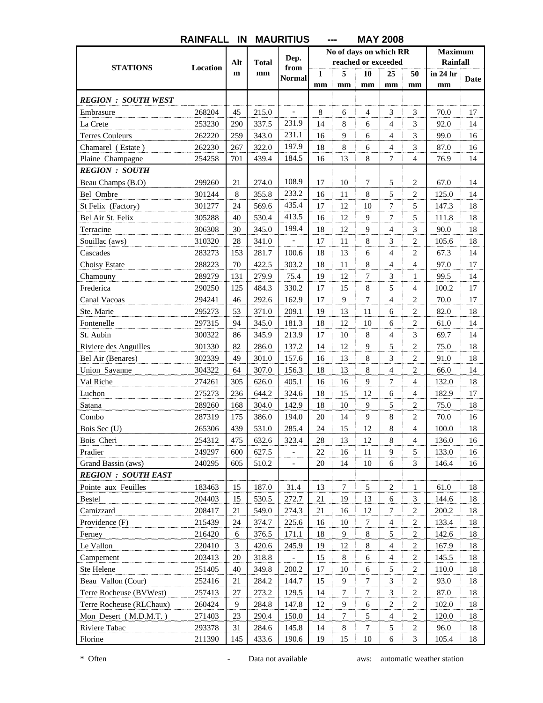|                            |          |     |              |               |              |                     |                  | טטטב ו הווו            |                |                 |      |
|----------------------------|----------|-----|--------------|---------------|--------------|---------------------|------------------|------------------------|----------------|-----------------|------|
|                            |          |     |              | Dep.          |              |                     |                  | No of days on which RR |                | <b>Maximum</b>  |      |
| <b>STATIONS</b>            | Location | Alt | <b>Total</b> | from          |              | reached or exceeded |                  |                        |                | <b>Rainfall</b> |      |
|                            |          | m   | mm           | <b>Normal</b> | $\mathbf{1}$ | 5                   | 10               | 25                     | 50             | in 24 hr        | Date |
|                            |          |     |              |               | mm           | mm                  | mm               | mm                     | mm             | mm              |      |
| <b>REGION : SOUTH WEST</b> |          |     |              |               |              |                     |                  |                        |                |                 |      |
| Embrasure                  | 268204   | 45  | 215.0        |               | 8            | 6                   | $\overline{4}$   | 3                      | 3              | 70.0            | 17   |
| La Crete                   | 253230   | 290 | 337.5        | 231.9         | 14           | 8                   | 6                | $\overline{4}$         | 3              | 92.0            | 14   |
| <b>Terres Couleurs</b>     | 262220   | 259 | 343.0        | 231.1         | 16           | 9                   | 6                | $\overline{4}$         | 3              | 99.0            | 16   |
| Chamarel (Estate)          | 262230   | 267 | 322.0        | 197.9         | 18           | 8                   | 6                | $\overline{4}$         | 3              | 87.0            | 16   |
| Plaine Champagne           | 254258   | 701 | 439.4        | 184.5         | 16           | 13                  | 8                | $\overline{7}$         | $\overline{4}$ | 76.9            | 14   |
| <b>REGION : SOUTH</b>      |          |     |              |               |              |                     |                  |                        |                |                 |      |
| Beau Champs (B.O)          | 299260   | 21  | 274.0        | 108.9         | 17           | 10                  | $\tau$           | 5                      | $\overline{c}$ | 67.0            | 14   |
| Bel Ombre                  | 301244   | 8   | 355.8        | 233.2         | 16           | 11                  | 8                | 5                      | 2              | 125.0           | 14   |
| St Felix (Factory)         | 301277   | 24  | 569.6        | 435.4         | 17           | 12                  | 10               | 7                      | 5              | 147.3           | 18   |
| Bel Air St. Felix          | 305288   | 40  | 530.4        | 413.5         | 16           | 12                  | 9                | $\tau$                 | 5              | 111.8           | 18   |
| Terracine                  | 306308   | 30  | 345.0        | 199.4         | 18           | 12                  | $\overline{9}$   | $\overline{4}$         | 3              | 90.0            | 18   |
| Souillac (aws)             | 310320   | 28  | 341.0        |               | 17           | 11                  | 8                | 3                      | 2              | 105.6           | 18   |
| Cascades                   | 283273   | 153 | 281.7        | 100.6         | 18           | 13                  | 6                | $\overline{4}$         | 2              | 67.3            | 14   |
| Choisy Estate              | 288223   | 70  | 422.5        | 303.2         | 18           | 11                  | 8                | $\overline{4}$         | $\overline{4}$ | 97.0            | 17   |
| Chamouny                   | 289279   | 131 | 279.9        | 75.4          | 19           | 12                  | $\tau$           | 3                      | $\mathbf{1}$   | 99.5            | 14   |
| Frederica                  | 290250   | 125 | 484.3        | 330.2         | 17           | 15                  | 8                | 5                      | 4              | 100.2           | 17   |
| Canal Vacoas               | 294241   | 46  | 292.6        | 162.9         | 17           | 9                   | 7                | $\overline{4}$         | 2              | 70.0            | 17   |
| Ste. Marie                 | 295273   | 53  | 371.0        | 209.1         | 19           | 13                  | 11               | 6                      | 2              | 82.0            | 18   |
| Fontenelle                 | 297315   | 94  | 345.0        | 181.3         | 18           | 12                  | 10               | 6                      | 2              | 61.0            | 14   |
| St. Aubin                  | 300322   | 86  | 345.9        | 213.9         | 17           | 10                  | 8                | $\overline{4}$         | 3              | 69.7            | 14   |
| Riviere des Anguilles      | 301330   | 82  | 286.0        | 137.2         | 14           | 12                  | 9                | 5                      | 2              | 75.0            | 18   |
| Bel Air (Benares)          | 302339   | 49  | 301.0        | 157.6         | 16           | 13                  | 8                | 3                      | 2              | 91.0            | 18   |
| Union Savanne              | 304322   | 64  | 307.0        | 156.3         | 18           | 13                  | 8                | $\overline{4}$         | 2              | 66.0            | 14   |
| Val Riche                  | 274261   | 305 | 626.0        | 405.1         | 16           | 16                  | 9                | 7                      | $\overline{4}$ | 132.0           | 18   |
| Luchon                     | 275273   | 236 | 644.2        | 324.6         | 18           | 15                  | 12               | 6                      | 4              | 182.9           | 17   |
| Satana                     | 289260   | 168 | 304.0        | 142.9         | 18           | 10                  | 9                | 5                      | 2              | 75.0            | 18   |
| Combo                      | 287319   | 175 | 386.0        | 194.0         | 20           | 14                  | 9                | 8                      | 2              | 70.0            | 16   |
| Bois Sec (U)               | 265306   | 439 | 531.0        | 285.4         | 24           | 15                  | 12               | 8                      | 4              | 100.0           | 18   |
| Bois Cheri                 | 254312   | 475 | 632.6        | 323.4         | $28\,$       | 13                  | 12               | 8                      | 4              | 136.0           | 16   |
| Pradier                    | 249297   | 600 | 627.5        |               | 22           | 16                  | 11               | 9                      | 5              | 133.0           | 16   |
| Grand Bassin (aws)         | 240295   | 605 | 510.2        |               | 20           | 14                  | 10               | 6                      | 3              | 146.4           | 16   |
| <b>REGION : SOUTH EAST</b> |          |     |              |               |              |                     |                  |                        |                |                 |      |
| Pointe aux Feuilles        | 183463   | 15  | 187.0        | 31.4          | 13           | $\tau$              | 5                | 2                      | $\mathbf{1}$   | 61.0            | 18   |
| Bestel                     | 204403   | 15  | 530.5        | 272.7         | 21           | 19                  | 13               | 6                      | 3              | 144.6           | 18   |
| Camizzard                  | 208417   | 21  | 549.0        | 274.3         | 21           | 16                  | 12               | $\tau$                 | $\overline{2}$ | 200.2           | 18   |
| Providence (F)             | 215439   | 24  | 374.7        | 225.6         | 16           | 10                  | $\tau$           | $\overline{4}$         | 2              | 133.4           | 18   |
| Ferney                     | 216420   | 6   | 376.5        | 171.1         | 18           | 9                   | $\,8\,$          | 5                      | $\overline{c}$ | 142.6           | 18   |
| Le Vallon                  | 220410   | 3   | 420.6        | 245.9         | 19           | 12                  | $\,8\,$          | $\overline{4}$         | $\overline{c}$ | 167.9           | 18   |
| Campement                  | 203413   | 20  | 318.8        |               | 15           | $8\,$               | 6                | $\overline{4}$         | 2              | 145.5           | 18   |
| Ste Helene                 | 251405   | 40  | 349.8        | 200.2         | 17           | 10                  | 6                | 5                      | $\overline{c}$ | 110.0           | 18   |
| Beau Vallon (Cour)         | 252416   | 21  | 284.2        | 144.7         | 15           | 9                   | 7                | 3                      | 2              | 93.0            | 18   |
| Terre Rocheuse (BVWest)    | 257413   | 27  | 273.2        | 129.5         | 14           | $\tau$              | $\boldsymbol{7}$ | 3                      | 2              | 87.0            | 18   |
| Terre Rocheuse (RLChaux)   | 260424   | 9   | 284.8        | 147.8         | 12           | 9                   | 6                | 2                      | $\overline{c}$ | 102.0           | 18   |
| Mon Desert (M.D.M.T.)      | 271403   | 23  | 290.4        | 150.0         | 14           | $\tau$              | 5                | $\overline{4}$         | 2              | 120.0           | 18   |
| Riviere Tabac              | 293378   | 31  | 284.6        | 145.8         | 14           | $8\,$               | $\boldsymbol{7}$ | 5                      | $\overline{c}$ | 96.0            | 18   |
| Florine                    | 211390   | 145 | 433.6        | 190.6         | 19           | 15                  | 10               | 6                      | 3              | 105.4           | 18   |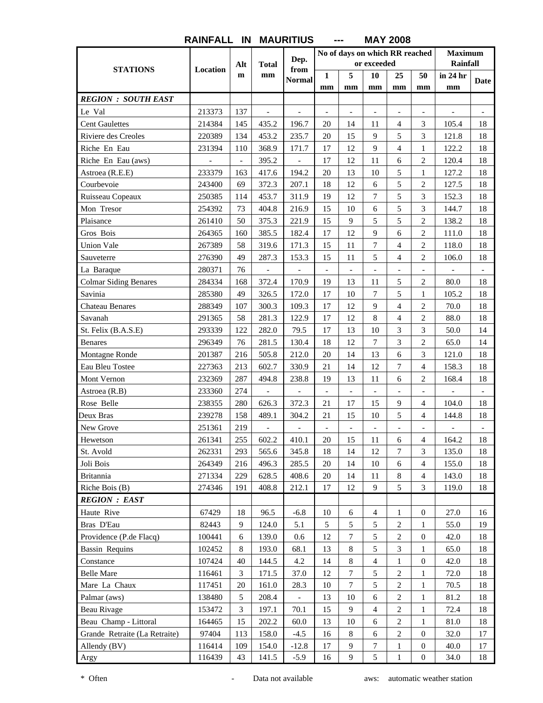|                               |                          |                          |                          | Dep.                     |                          | No of days on which RR reached |                          |                          |                          | <b>Maximum</b><br><b>Rainfall</b> |                          |
|-------------------------------|--------------------------|--------------------------|--------------------------|--------------------------|--------------------------|--------------------------------|--------------------------|--------------------------|--------------------------|-----------------------------------|--------------------------|
| <b>STATIONS</b>               | Location                 | Alt                      | <b>Total</b>             | from                     |                          |                                | or exceeded              |                          |                          |                                   |                          |
|                               |                          | $\mathbf{m}$             | mm                       | <b>Normal</b>            | $\mathbf{1}$             | 5                              | 10                       | 25                       | 50                       | in 24 hr                          | Date                     |
| <b>REGION : SOUTH EAST</b>    |                          |                          |                          |                          | mm                       | mm                             | mm                       | mm                       | mm                       | mm                                |                          |
|                               |                          |                          |                          |                          |                          |                                |                          |                          |                          |                                   |                          |
| Le Val                        | 213373                   | 137                      | $\overline{\phantom{a}}$ | $\overline{\phantom{a}}$ | $\overline{\phantom{a}}$ | $\overline{\phantom{a}}$       | $\overline{\phantom{a}}$ | $\overline{\phantom{a}}$ | $\overline{\phantom{a}}$ | $\overline{\phantom{a}}$          | $\overline{\phantom{a}}$ |
| <b>Cent Gaulettes</b>         | 214384                   | 145                      | 435.2                    | 196.7                    | 20                       | 14                             | 11                       | $\overline{4}$           | 3                        | 105.4                             | 18                       |
| Riviere des Creoles           | 220389                   | 134                      | 453.2                    | 235.7                    | 20                       | 15                             | 9                        | 5                        | 3                        | 121.8                             | 18                       |
| Riche En Eau                  | 231394                   | 110                      | 368.9                    | 171.7                    | 17                       | 12                             | 9                        | $\overline{4}$           | 1                        | 122.2                             | 18                       |
| Riche En Eau (aws)            | $\overline{\phantom{a}}$ | $\overline{\phantom{a}}$ | 395.2                    | $\overline{\phantom{0}}$ | 17                       | 12                             | 11                       | 6                        | 2                        | 120.4                             | 18                       |
| Astroea (R.E.E)               | 233379                   | 163                      | 417.6                    | 194.2                    | 20                       | 13                             | 10                       | 5                        | $\mathbf{1}$             | 127.2                             | 18                       |
| Courbevoie                    | 243400                   | 69                       | 372.3                    | 207.1                    | 18                       | 12                             | 6                        | 5                        | 2                        | 127.5                             | 18                       |
| Ruisseau Copeaux              | 250385                   | 114                      | 453.7                    | 311.9                    | 19                       | 12                             | $\overline{7}$           | 5                        | 3                        | 152.3                             | 18                       |
| Mon Tresor                    | 254392                   | 73                       | 404.8                    | 216.9                    | 15                       | 10                             | 6                        | 5                        | 3                        | 144.7                             | 18                       |
| Plaisance                     | 261410                   | 50                       | 375.3                    | 221.9                    | 15                       | 9                              | 5                        | 5                        | $\overline{c}$           | 138.2                             | 18                       |
| Gros Bois                     | 264365                   | 160                      | 385.5                    | 182.4                    | 17                       | 12                             | 9                        | 6                        | 2                        | 111.0                             | 18                       |
| <b>Union Vale</b>             | 267389                   | 58                       | 319.6                    | 171.3                    | 15                       | 11                             | $\overline{7}$           | 4                        | 2                        | 118.0                             | 18                       |
| Sauveterre                    | 276390                   | 49                       | 287.3                    | 153.3                    | 15                       | 11                             | 5                        | $\overline{4}$           | 2                        | 106.0                             | 18                       |
| La Baraque                    | 280371                   | 76                       | $\overline{\phantom{0}}$ |                          | $\overline{\phantom{a}}$ | $\overline{\phantom{a}}$       | $\overline{\phantom{a}}$ | $\frac{1}{2}$            | $\overline{\phantom{a}}$ |                                   | $\overline{\phantom{a}}$ |
| <b>Colmar Siding Benares</b>  | 284334                   | 168                      | 372.4                    | 170.9                    | 19                       | 13                             | 11                       | 5                        | 2                        | 80.0                              | 18                       |
| Savinia                       | 285380                   | 49                       | 326.5                    | 172.0                    | 17                       | 10                             | $\overline{7}$           | 5                        | $\mathbf{1}$             | 105.2                             | 18                       |
| <b>Chateau Benares</b>        | 288349                   | 107                      | 300.3                    | 109.3                    | 17                       | 12                             | 9                        | $\overline{4}$           | 2                        | 70.0                              | 18                       |
| Savanah                       | 291365                   | 58                       | 281.3                    | 122.9                    | 17                       | 12                             | 8                        | $\overline{4}$           | 2                        | 88.0                              | 18                       |
| St. Felix (B.A.S.E)           | 293339                   | 122                      | 282.0                    | 79.5                     | 17                       | 13                             | 10                       | 3                        | 3                        | 50.0                              | 14                       |
| <b>Benares</b>                | 296349                   | 76                       | 281.5                    | 130.4                    | 18                       | 12                             | $\overline{7}$           | 3                        | 2                        | 65.0                              | 14                       |
| Montagne Ronde                | 201387                   | 216                      | 505.8                    | 212.0                    | 20                       | 14                             | 13                       | 6                        | 3                        | 121.0                             | 18                       |
| Eau Bleu Tostee               | 227363                   | 213                      | 602.7                    | 330.9                    | 21                       | 14                             | 12                       | 7                        | 4                        | 158.3                             | 18                       |
| Mont Vernon                   | 232369                   | 287                      | 494.8                    | 238.8                    | 19                       | 13                             | 11                       | 6                        | 2                        | 168.4                             | 18                       |
| Astroea (R.B)                 | 233360                   | 274                      | $\overline{a}$           |                          |                          | $\overline{\phantom{a}}$       | $\overline{\phantom{0}}$ |                          |                          |                                   |                          |
| Rose Belle                    | 238355                   | 280                      | 626.3                    | 372.3                    | 21                       | 17                             | 15                       | 9                        | 4                        | 104.0                             | 18                       |
| Deux Bras                     | 239278                   | 158                      | 489.1                    | 304.2                    | 21                       | 15                             | 10                       | 5                        | $\overline{4}$           | 144.8                             | 18                       |
| New Grove                     | 251361                   | 219                      |                          |                          |                          |                                |                          |                          |                          |                                   |                          |
| Hewetson                      | 261341                   | 255                      | 602.2                    | 410.1                    | 20                       | 15                             | 11                       | 6                        | 4                        | 164.2                             | 18                       |
| St. Avold                     | 262331                   | 293                      | 565.6                    | 345.8                    | 18                       | 14                             | 12                       | 7                        | 3                        | 135.0                             | 18                       |
| Joli Bois                     | 264349                   | 216                      | 496.3                    | 285.5                    | 20                       | 14                             | 10                       | 6                        | $\overline{4}$           | 155.0                             | 18                       |
| <b>Britannia</b>              | 271334                   | 229                      | 628.5                    | 408.6                    | 20                       | 14                             | 11                       | 8                        | $\overline{4}$           | 143.0                             | 18                       |
| Riche Bois (B)                | 274346                   | 191                      | 408.8                    | 212.1                    | 17                       | 12                             | 9                        | 5                        | 3                        | 119.0                             | 18                       |
| <b>REGION : EAST</b>          |                          |                          |                          |                          |                          |                                |                          |                          |                          |                                   |                          |
| Haute Rive                    | 67429                    | 18                       | 96.5                     | $-6.8$                   | $10\,$                   | 6                              | $\overline{4}$           | $\mathbf{1}$             | $\overline{0}$           | 27.0                              | 16                       |
| Bras D'Eau                    | 82443                    | 9                        | 124.0                    | 5.1                      | 5                        | 5                              | 5                        | $\sqrt{2}$               | 1                        | 55.0                              | 19                       |
| Providence (P.de Flacq)       | 100441                   | 6                        | 139.0                    | 0.6                      | 12                       | 7                              | 5                        | 2                        | $\boldsymbol{0}$         | 42.0                              | 18                       |
| <b>Bassin Requins</b>         | 102452                   | 8                        | 193.0                    | 68.1                     | 13                       | $\,8\,$                        | 5                        | 3                        | 1                        | 65.0                              | 18                       |
| Constance                     | 107424                   | 40                       | 144.5                    | 4.2                      | 14                       | $\,8\,$                        | $\overline{4}$           | 1                        | $\overline{0}$           | 42.0                              | 18                       |
| <b>Belle Mare</b>             | 116461                   | 3                        | 171.5                    | 37.0                     | 12                       | $\tau$                         | 5                        | $\sqrt{2}$               | 1                        | 72.0                              | 18                       |
| Mare La Chaux                 | 117451                   | 20                       | 161.0                    | 28.3                     | 10                       | 7                              | $\sqrt{5}$               | $\overline{2}$           | 1                        | 70.5                              | 18                       |
| Palmar (aws)                  | 138480                   | 5                        | 208.4                    |                          | 13                       | 10                             | 6                        | $\overline{c}$           | 1                        | 81.2                              | 18                       |
| Beau Rivage                   | 153472                   | 3                        | 197.1                    | 70.1                     | 15                       | 9                              | $\overline{4}$           | $\sqrt{2}$               | 1                        | 72.4                              | 18                       |
| Beau Champ - Littoral         | 164465                   | 15                       | 202.2                    | 60.0                     | 13                       | 10                             | 6                        | $\sqrt{2}$               |                          | 81.0                              | 18                       |
| Grande Retraite (La Retraite) | 97404                    |                          |                          |                          |                          | 8                              | 6                        | $\boldsymbol{2}$         | $\mathbf{1}$             |                                   |                          |
|                               |                          | 113                      | 158.0                    | $-4.5$                   | 16                       | 9                              |                          |                          | $\overline{0}$           | 32.0                              | 17                       |
| Allendy (BV)                  | 116414                   | 109                      | 154.0                    | $-12.8$                  | 17                       | 9                              | $\tau$<br>5              | 1                        | $\overline{0}$           | 40.0                              | 17                       |
| Argy                          | 116439                   | 43                       | 141.5                    | $-5.9$                   | 16                       |                                |                          | $\,1$                    | $\mathbf{0}$             | 34.0                              | 18                       |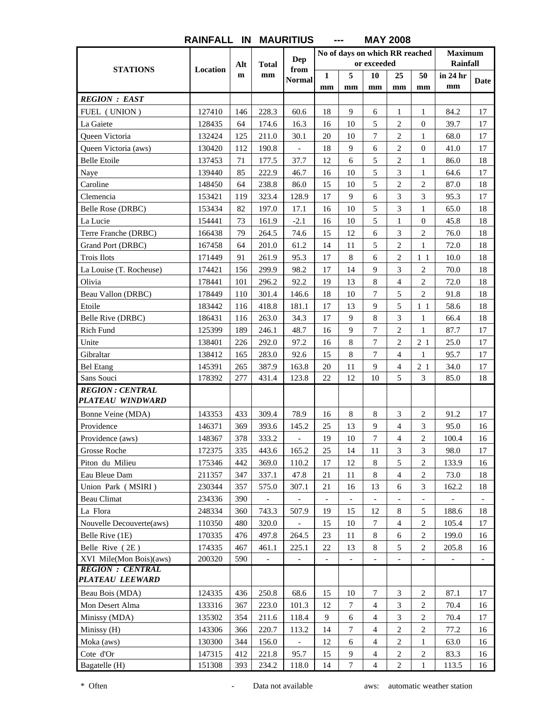|                           |          |              |                          | Dep                      |                          | No of days on which RR reached | or exceeded              |                          |                          | <b>Maximum</b><br>Rainfall |                          |
|---------------------------|----------|--------------|--------------------------|--------------------------|--------------------------|--------------------------------|--------------------------|--------------------------|--------------------------|----------------------------|--------------------------|
| <b>STATIONS</b>           | Location | Alt          | <b>Total</b>             | from                     |                          |                                |                          |                          |                          |                            |                          |
|                           |          | $\mathbf{m}$ | mm                       | <b>Normal</b>            | 1                        | 5                              | 10                       | 25                       | 50                       | in 24 hr<br>mm             | Date                     |
| <b>REGION : EAST</b>      |          |              |                          |                          | mm                       | mm                             | mm                       | mm                       | mm                       |                            |                          |
|                           | 127410   | 146          | 228.3                    | 60.6                     | 18                       | 9                              |                          | 1                        |                          | 84.2                       | 17                       |
| FUEL (UNION)<br>La Gaiete | 128435   | 64           | 174.6                    | 16.3                     | 16                       | 10                             | 6<br>5                   | $\overline{2}$           | 1<br>$\overline{0}$      | 39.7                       | 17                       |
| <b>Oueen Victoria</b>     | 132424   | 125          | 211.0                    | 30.1                     | 20                       | 10                             | 7                        | $\overline{c}$           | $\mathbf{1}$             | 68.0                       | 17                       |
|                           |          |              |                          |                          |                          |                                |                          |                          |                          |                            |                          |
| Queen Victoria (aws)      | 130420   | 112          | 190.8                    |                          | 18                       | 9                              | 6                        | $\overline{2}$           | $\theta$                 | 41.0                       | 17                       |
| <b>Belle Etoile</b>       | 137453   | 71           | 177.5                    | 37.7                     | 12                       | 6                              | 5                        | $\overline{c}$           | 1                        | 86.0                       | 18                       |
| Naye                      | 139440   | 85           | 222.9                    | 46.7                     | 16                       | 10                             | 5<br>5                   | 3<br>$\overline{c}$      | 1                        | 64.6                       | 17                       |
| Caroline                  | 148450   | 64           | 238.8                    | 86.0                     | 15                       | 10<br>9                        |                          |                          | $\mathbf{2}$             | 87.0                       | 18                       |
| Clemencia                 | 153421   | 119          | 323.4                    | 128.9                    | 17                       |                                | 6                        | 3                        | 3                        | 95.3                       | 17                       |
| Belle Rose (DRBC)         | 153434   | 82           | 197.0                    | 17.1                     | 16                       | 10                             | 5                        | 3                        | $\mathbf{1}$             | 65.0                       | 18                       |
| La Lucie                  | 154441   | 73           | 161.9                    | $-2.1$                   | 16                       | 10                             | 5                        | $\mathbf{1}$             | $\overline{0}$           | 45.8                       | 18                       |
| Terre Franche (DRBC)      | 166438   | 79           | 264.5                    | 74.6                     | 15                       | 12                             | 6                        | 3                        | 2                        | 76.0                       | 18                       |
| Grand Port (DRBC)         | 167458   | 64           | 201.0                    | 61.2                     | 14                       | 11                             | 5                        | $\overline{c}$           | 1                        | 72.0                       | 18                       |
| <b>Trois Ilots</b>        | 171449   | 91           | 261.9                    | 95.3                     | 17                       | 8                              | 6                        | $\overline{2}$           | 11                       | 10.0                       | 18                       |
| La Louise (T. Rocheuse)   | 174421   | 156          | 299.9                    | 98.2                     | 17                       | 14                             | 9                        | 3                        | 2                        | 70.0                       | 18                       |
| Olivia                    | 178441   | 101          | 296.2                    | 92.2                     | 19                       | 13                             | 8                        | $\overline{4}$           | 2                        | 72.0                       | 18                       |
| Beau Vallon (DRBC)        | 178449   | 110          | 301.4                    | 146.6                    | 18                       | 10                             | 7                        | 5                        | $\mathbf{2}$             | 91.8                       | 18                       |
| Etoile                    | 183442   | 116          | 418.8                    | 181.1                    | 17                       | 13                             | 9                        | 5                        | $1\ 1$                   | 58.6                       | 18                       |
| Belle Rive (DRBC)         | 186431   | 116          | 263.0                    | 34.3                     | 17                       | 9                              | 8                        | 3                        | 1                        | 66.4                       | 18                       |
| Rich Fund                 | 125399   | 189          | 246.1                    | 48.7                     | 16                       | 9                              | 7                        | $\overline{c}$           | 1                        | 87.7                       | 17                       |
| Unite                     | 138401   | 226          | 292.0                    | 97.2                     | 16                       | 8                              | 7                        | $\overline{c}$           | 2 <sub>1</sub>           | 25.0                       | 17                       |
| Gibraltar                 | 138412   | 165          | 283.0                    | 92.6                     | 15                       | 8                              | 7                        | $\overline{4}$           | 1                        | 95.7                       | 17                       |
| <b>Bel Etang</b>          | 145391   | 265          | 387.9                    | 163.8                    | 20                       | 11                             | 9                        | $\overline{4}$           | 2 <sub>1</sub>           | 34.0                       | 17                       |
| Sans Souci                | 178392   | 277          | 431.4                    | 123.8                    | 22                       | 12                             | 10                       | 5                        | 3                        | 85.0                       | 18                       |
| <b>REGION : CENTRAL</b>   |          |              |                          |                          |                          |                                |                          |                          |                          |                            |                          |
| <b>PLATEAU WINDWARD</b>   |          |              |                          |                          |                          |                                |                          |                          |                          |                            |                          |
| Bonne Veine (MDA)         | 143353   | 433          | 309.4                    | 78.9                     | 16                       | 8                              | 8                        | 3                        | 2                        | 91.2                       | 17                       |
| Providence                | 146371   | 369          | 393.6                    | 145.2                    | 25                       | 13                             | 9                        | $\overline{4}$           | 3                        | 95.0                       | 16                       |
| Providence (aws)          | 148367   | 378          | 333.2                    |                          | 19                       | 10                             | 7                        | $\overline{4}$           | $\mathbf{2}$             | 100.4                      | 16                       |
| Grosse Roche              | 172375   | 335          | 443.6                    | 165.2                    | 25                       | 14                             | 11                       | 3                        | 3                        | 98.0                       | 17                       |
| Piton du Milieu           | 175346   | 442          | 369.0                    | 110.2                    | 17                       | 12                             | 8                        | 5                        | 2                        | 133.9                      | 16                       |
| Eau Bleue Dam             | 211357   | 347          | 337.1                    | 47.8                     | 21                       | 11                             | $\,8\,$                  | $\overline{4}$           | $\sqrt{2}$               | 73.0                       | 18                       |
| Union Park (MSIRI)        | 230344   | 357          | 575.0                    | 307.1                    | 21                       | 16                             | 13                       | 6                        | 3                        | 162.2                      | 18                       |
| <b>Beau Climat</b>        | 234336   | 390          |                          |                          | $\overline{\phantom{0}}$ |                                | $\qquad \qquad -$        |                          |                          |                            |                          |
| La Flora                  | 248334   | 360          | 743.3                    | 507.9                    | 19                       | 15                             | 12                       | 8                        | 5                        | 188.6                      | 18                       |
| Nouvelle Decouverte(aws)  | 110350   | 480          | 320.0                    |                          | 15                       | 10                             | $\tau$                   | $\overline{4}$           | $\mathbf{2}$             | 105.4                      | 17                       |
| Belle Rive (1E)           | 170335   | 476          | 497.8                    | 264.5                    | 23                       | 11                             | 8                        | 6                        | $\mathbf{2}$             | 199.0                      | 16                       |
| Belle Rive (2E)           | 174335   | 467          | 461.1                    | 225.1                    | 22                       | 13                             | 8                        | 5                        | 2                        | 205.8                      | 16                       |
| XVI Mile(Mon Bois)(aws)   | 200320   | 590          | $\overline{\phantom{a}}$ | $\overline{\phantom{a}}$ | $\overline{\phantom{a}}$ | $\overline{\phantom{a}}$       | $\overline{\phantom{a}}$ | $\overline{\phantom{0}}$ | $\overline{\phantom{a}}$ | $\overline{\phantom{a}}$   | $\overline{\phantom{a}}$ |
| <b>REGION : CENTRAL</b>   |          |              |                          |                          |                          |                                |                          |                          |                          |                            |                          |
| <b>PLATEAU LEEWARD</b>    |          |              |                          |                          |                          |                                |                          |                          |                          |                            |                          |
| Beau Bois (MDA)           | 124335   | 436          | 250.8                    | 68.6                     | 15                       | 10                             | 7                        | 3                        | $\overline{c}$           | 87.1                       | 17                       |
| Mon Desert Alma           | 133316   | 367          | 223.0                    | 101.3                    | 12                       | 7                              | $\overline{4}$           | 3                        | $\mathbf{2}$             | 70.4                       | 16                       |
| Minissy (MDA)             | 135302   | 354          | 211.6                    | 118.4                    | 9                        | 6                              | 4                        | 3                        | 2                        | 70.4                       | 17                       |
| Minissy (H)               | 143306   | 366          | 220.7                    | 113.2                    | 14                       | $\tau$                         | 4                        | 2                        | 2                        | 77.2                       | 16                       |
| Moka (aws)                | 130300   | 344          | 156.0                    |                          | 12                       | 6                              | 4                        | $\overline{2}$           | 1                        | 63.0                       | 16                       |
| Cote d'Or                 | 147315   | 412          | 221.8                    | 95.7                     | 15                       | 9                              | 4                        | $\sqrt{2}$               | 2                        | 83.3                       | 16                       |
| Bagatelle (H)             | 151308   | 393          | 234.2                    | 118.0                    | 14                       | 7                              | 4                        | $\sqrt{2}$               | 1                        | 113.5                      | 16                       |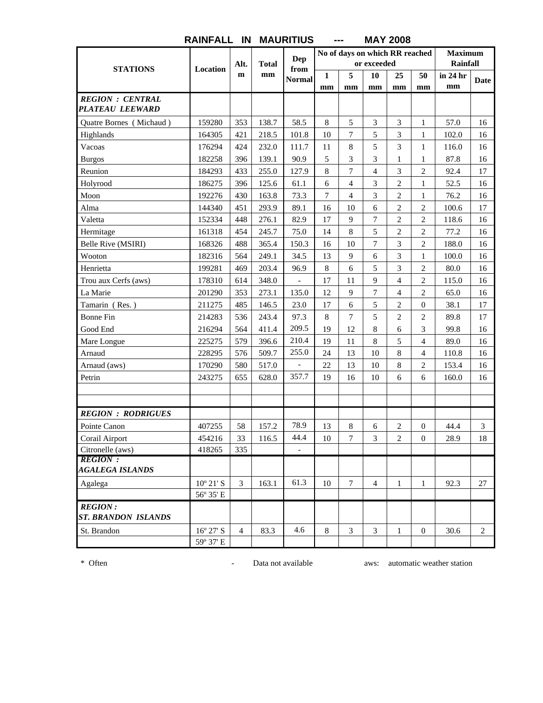| <b>STATIONS</b>                    | Location           | Alt.           | <b>Total</b> | Dep<br>from              |              | No of days on which RR reached | or exceeded              |                |                          | <b>Maximum</b><br>Rainfall |                |
|------------------------------------|--------------------|----------------|--------------|--------------------------|--------------|--------------------------------|--------------------------|----------------|--------------------------|----------------------------|----------------|
|                                    |                    | m              | mm           | <b>Normal</b>            | $\mathbf{1}$ | 5                              | 10                       | 25             | 50                       | in 24 hr<br>mm             | Date           |
| <b>REGION : CENTRAL</b>            |                    |                |              |                          | mm           | mm                             | mm                       | mm             | mm                       |                            |                |
| <b>PLATEAU LEEWARD</b>             |                    |                |              |                          |              |                                |                          |                |                          |                            |                |
| Quatre Bornes (Michaud)            | 159280             | 353            | 138.7        | 58.5                     | $\,8\,$      | 5                              | 3                        | 3              | 1                        | 57.0                       | 16             |
| Highlands                          | 164305             | 421            | 218.5        | 101.8                    | 10           | $\overline{7}$                 | 5                        | 3              | $\mathbf{1}$             | 102.0                      | 16             |
| Vacoas                             | 176294             | 424            | 232.0        | 111.7                    | 11           | 8                              | 5                        | 3              | 1                        | 116.0                      | 16             |
| <b>Burgos</b>                      | 182258             | 396            | 139.1        | 90.9                     | 5            | 3                              | 3                        | 1              | 1                        | 87.8                       | 16             |
| Reunion                            | 184293             | 433            | 255.0        | 127.9                    | 8            | $\overline{7}$                 | $\overline{\mathcal{L}}$ | 3              | $\mathbf{2}$             | 92.4                       | 17             |
| Holyrood                           | 186275             | 396            | 125.6        | 61.1                     | 6            | $\overline{\mathcal{L}}$       | 3                        | $\overline{c}$ | 1                        | 52.5                       | 16             |
| Moon                               | 192276             | 430            | 163.8        | 73.3                     | $\tau$       | $\overline{4}$                 | 3                        | $\overline{c}$ | $\mathbf{1}$             | 76.2                       | 16             |
| Alma                               | 144340             | 451            | 293.9        | 89.1                     | 16           | 10                             | 6                        | $\overline{c}$ | $\mathbf{2}$             | 100.6                      | 17             |
| Valetta                            | 152334             | 448            | 276.1        | 82.9                     | 17           | 9                              | 7                        | $\overline{c}$ | $\overline{c}$           | 118.6                      | 16             |
| Hermitage                          | 161318             | 454            | 245.7        | 75.0                     | 14           | 8                              | 5                        | $\overline{2}$ | 2                        | 77.2                       | 16             |
| Belle Rive (MSIRI)                 | 168326             | 488            | 365.4        | 150.3                    | 16           | 10                             | 7                        | 3              | $\mathbf{2}$             | 188.0                      | 16             |
| Wooton                             | 182316             | 564            | 249.1        | 34.5                     | 13           | 9                              | 6                        | 3              | $\mathbf{1}$             | 100.0                      | 16             |
| Henrietta                          | 199281             | 469            | 203.4        | 96.9                     | $\,8\,$      | 6                              | 5                        | 3              | $\overline{c}$           | 80.0                       | 16             |
| Trou aux Cerfs (aws)               | 178310             | 614            | 348.0        | $\overline{\phantom{0}}$ | 17           | 11                             | 9                        | 4              | 2                        | 115.0                      | 16             |
| La Marie                           | 201290             | 353            | 273.1        | 135.0                    | 12           | 9                              | 7                        | 4              | $\mathbf{2}$             | 65.0                       | 16             |
| Tamarin (Res.)                     | 211275             | 485            | 146.5        | 23.0                     | 17           | 6                              | 5                        | $\overline{2}$ | $\overline{0}$           | 38.1                       | 17             |
| <b>Bonne Fin</b>                   | 214283             | 536            | 243.4        | 97.3                     | 8            | 7                              | 5                        | $\overline{2}$ | 2                        | 89.8                       | 17             |
| Good End                           | 216294             | 564            | 411.4        | 209.5                    | 19           | 12                             | 8                        | 6              | 3                        | 99.8                       | 16             |
| Mare Longue                        | 225275             | 579            | 396.6        | 210.4                    | 19           | 11                             | 8                        | 5              | $\overline{4}$           | 89.0                       | 16             |
| Arnaud                             | 228295             | 576            | 509.7        | 255.0                    | 24           | 13                             | 10                       | 8              | $\overline{\mathcal{L}}$ | 110.8                      | 16             |
| Arnaud (aws)                       | 170290             | 580            | 517.0        |                          | 22           | 13                             | 10                       | 8              | 2                        | 153.4                      | 16             |
| Petrin                             | 243275             | 655            | 628.0        | 357.7                    | 19           | 16                             | 10                       | 6              | 6                        | 160.0                      | 16             |
|                                    |                    |                |              |                          |              |                                |                          |                |                          |                            |                |
|                                    |                    |                |              |                          |              |                                |                          |                |                          |                            |                |
| <b>REGION : RODRIGUES</b>          |                    |                |              | 78.9                     |              |                                |                          |                |                          |                            |                |
| Pointe Canon                       | 407255             | 58             | 157.2        | 44.4                     | 13           | 8                              | 6                        | $\overline{c}$ | $\mathbf{0}$             | 44.4                       | 3              |
| Corail Airport<br>Citronelle (aws) | 454216             | 33             | 116.5        |                          | 10           | 7                              | 3                        | $\overline{c}$ | $\theta$                 | 28.9                       | 18             |
| <b>REGION:</b>                     | 418265             | 335            |              | $\overline{\phantom{a}}$ |              |                                |                          |                |                          |                            |                |
| <b>AGALEGA ISLANDS</b>             |                    |                |              |                          |              |                                |                          |                |                          |                            |                |
| Agalega                            | $10^{\circ} 21' S$ | 3              | 163.1        | 61.3                     | 10           | $\tau$                         | $\overline{4}$           | $\mathbf{1}$   | $\mathbf{1}$             | 92.3                       | 27             |
|                                    | 56° 35' E          |                |              |                          |              |                                |                          |                |                          |                            |                |
| <b>REGION:</b>                     |                    |                |              |                          |              |                                |                          |                |                          |                            |                |
| ST. BRANDON ISLANDS                |                    |                |              |                          |              |                                |                          |                |                          |                            |                |
| St. Brandon                        | $16^{\circ} 27' S$ | $\overline{4}$ | 83.3         | 4.6                      | 8            | 3                              | 3                        | 1              | $\boldsymbol{0}$         | 30.6                       | $\overline{2}$ |
|                                    | 59° 37' E          |                |              |                          |              |                                |                          |                |                          |                            |                |

**MAY 2008**

\* Often **-** Data not available aws: automatic weather station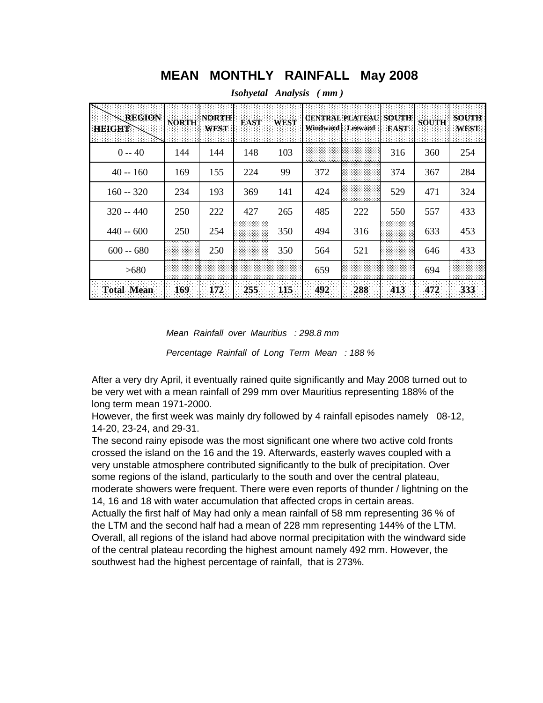## **MEAN MONTHLY RAINFALL May 2008**

| <b>REGION</b><br>HBIGHA | <b>NORTH</b> | <b>NORTH</b><br><b>WEST</b> | <b>EAST</b> | <b>WEST</b> | <b>CENTRAL PLATEAU</b><br><b>Windward</b> | <b>Leeward</b> | <b>SOUTH</b><br><b>EAST</b> | <b>SOUTH</b> | <b>SOUTH</b><br><b>WEST</b> |
|-------------------------|--------------|-----------------------------|-------------|-------------|-------------------------------------------|----------------|-----------------------------|--------------|-----------------------------|
| $0 - 40$                | 144          | 144                         | 148         | 103         |                                           |                | 316                         | 360          | 254                         |
| $40 - 160$              | 169          | 155                         | 224         | 99          | 372                                       |                | 374                         | 367          | 284                         |
| $160 - 320$             | 234          | 193                         | 369         | 141         | 424                                       |                | 529                         | 471          | 324                         |
| $320 - 440$             | 250          | 222                         | 427         | 265         | 485                                       | 222            | 550                         | 557          | 433                         |
| $440 - 600$             | 250          | 254                         |             | 350         | 494                                       | 316            |                             | 633          | 453                         |
| $600 - 680$             |              | 250                         |             | 350         | 564                                       | 521            |                             | 646          | 433                         |
| >680                    |              |                             |             |             | 659                                       |                |                             | 694          |                             |
| <b>Total Mean</b>       | 169          | 172                         | 255         | 115         | 492                                       | 288            | 413                         | 472          | 333                         |

*Isohyetal Analysis ( mm )*

*Mean Rainfall over Mauritius : 298.8 mm*

*Percentage Rainfall of Long Term Mean : 188 %*

After a very dry April, it eventually rained quite significantly and May 2008 turned out to be very wet with a mean rainfall of 299 mm over Mauritius representing 188% of the long term mean 1971-2000.

However, the first week was mainly dry followed by 4 rainfall episodes namely 08-12, 14-20, 23-24, and 29-31.

The second rainy episode was the most significant one where two active cold fronts crossed the island on the 16 and the 19. Afterwards, easterly waves coupled with a very unstable atmosphere contributed significantly to the bulk of precipitation. Over some regions of the island, particularly to the south and over the central plateau, moderate showers were frequent. There were even reports of thunder / lightning on the 14, 16 and 18 with water accumulation that affected crops in certain areas.

Actually the first half of May had only a mean rainfall of 58 mm representing 36 % of the LTM and the second half had a mean of 228 mm representing 144% of the LTM. Overall, all regions of the island had above normal precipitation with the windward side of the central plateau recording the highest amount namely 492 mm. However, the southwest had the highest percentage of rainfall, that is 273%.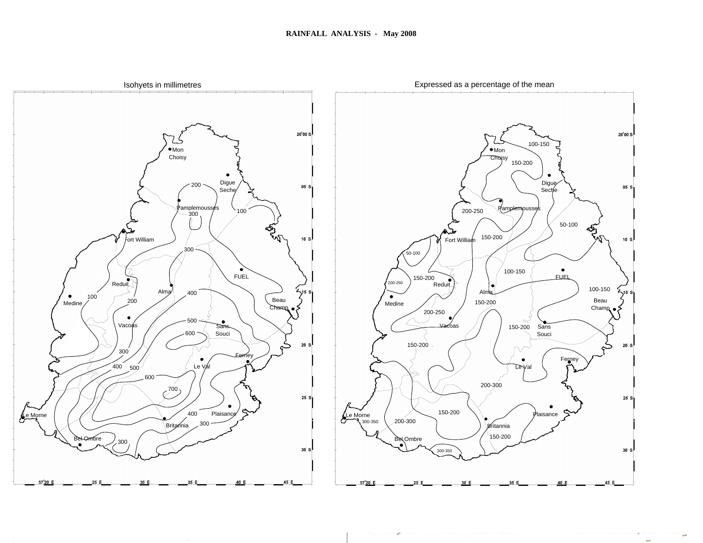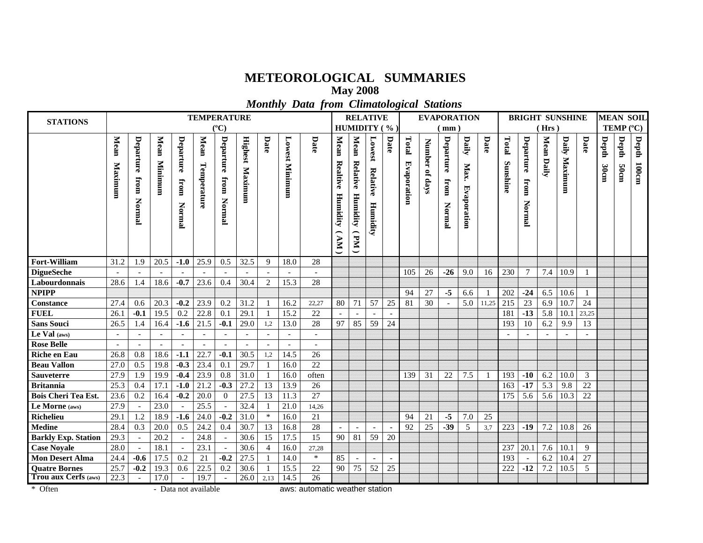## **METEOROLOGICAL SUMMARIES**

**May 2008**

*Monthly Data from Climatological Stations*

| <b>STATIONS</b>            |                 |                             |                          |                             | <b>TEMPERATURE</b>       |                             |                           |                          |                       |                          |                                           | <b>RELATIVE</b>                    |                                |              |                      |                          | <b>EVAPORATION</b>          |                              |                |                   |                                    |            | <b>BRIGHT SUNSHINE</b> |                |               |               | <b>MEAN SOIL</b> |
|----------------------------|-----------------|-----------------------------|--------------------------|-----------------------------|--------------------------|-----------------------------|---------------------------|--------------------------|-----------------------|--------------------------|-------------------------------------------|------------------------------------|--------------------------------|--------------|----------------------|--------------------------|-----------------------------|------------------------------|----------------|-------------------|------------------------------------|------------|------------------------|----------------|---------------|---------------|------------------|
|                            |                 |                             |                          |                             |                          | $(^{\circ}C)$               |                           |                          |                       |                          |                                           |                                    |                                | HUMIDITY (%) |                      |                          | $\lceil$ mm $\rceil$        |                              |                |                   |                                    | (Hrs)      |                        |                |               | TEMP (°C)     |                  |
|                            | Mean<br>Maximum | Departure<br>from<br>Normal | Mean<br>Minimum          | Departure<br>from<br>Normal | Mean<br>Temperature      | Departure<br>from<br>Normal | <b>Highest</b><br>Maximum | Date                     | <b>Lowest Minimum</b> | Date                     | Mean<br>Realtive<br>Humidity<br><b>NN</b> | Mean<br>Relative<br>Humidity<br>Md | Lowest<br>Relative<br>Humidity | Date         | Total<br>Evaporation | <b>Number</b><br>of days | Departure<br>from<br>Normal | Daily<br>Max.<br>Evaporation | Date           | Total<br>Sunshine | Departure<br>from<br><b>Normal</b> | Mean Daily | Daily<br>Maximum       | Date           | Depth<br>30cm | Depth<br>50cm | Depth<br>100cm   |
| <b>Fort-William</b>        | 31.2            | 1.9                         | 20.5                     | $-1.0$                      | 25.9                     | 0.5                         | 32.5                      | 9                        | 18.0                  | 28                       |                                           |                                    |                                |              |                      |                          |                             |                              |                |                   |                                    |            |                        |                |               |               |                  |
| <b>DigueSeche</b>          |                 | $\overline{\phantom{a}}$    | $\overline{\phantom{a}}$ |                             | $\overline{\phantom{a}}$ |                             | $\overline{\phantom{a}}$  | $\overline{\phantom{a}}$ |                       | $\overline{\phantom{a}}$ |                                           |                                    |                                |              | 105                  | 26                       | $-26$                       | 9.0                          | 16             | 230               | $\overline{7}$                     | 7.4        | 10.9                   |                |               |               |                  |
| Labourdonnais              | 28.6            | 1.4                         | 18.6                     | $-0.7$                      | 23.6                     | 0.4                         | 30.4                      | 2                        | 15.3                  | 28                       |                                           |                                    |                                |              |                      |                          |                             |                              |                |                   |                                    |            |                        |                |               |               |                  |
| <b>NPIPP</b>               |                 |                             |                          |                             |                          |                             |                           |                          |                       |                          |                                           |                                    |                                |              | 94                   | 27                       | $-5$                        | 6.6                          | $\overline{1}$ | 202               | $-24$                              | 6.5        | 10.6                   | $\overline{1}$ |               |               |                  |
| <b>Constance</b>           | 27.4            | 0.6                         | 20.3                     | $-0.2$                      | 23.9                     | 0.2                         | 31.2                      | -1                       | 16.2                  | 22,27                    | 80                                        | 71                                 | 57                             | 25           | 81                   | 30                       |                             | 5.0                          | 11,25          | 215               | 23                                 | 6.9        | 10.7                   | 24             |               |               |                  |
| <b>FUEL</b>                | 26.1            | $-0.1$                      | 19.5                     | 0.2                         | 22.8                     | 0.1                         | 29.1                      | -1                       | 15.2                  | 22                       |                                           |                                    |                                |              |                      |                          |                             |                              |                | 181               | $-13$                              | 5.8        | 10.1                   | 23,25          |               |               |                  |
| <b>Sans Souci</b>          | 26.5            | 1.4                         | 16.4                     | $-1.6$                      | 21.5                     | $-0.1$                      | 29.0                      | 1,2                      | 13.0                  | 28                       | 97                                        | 85                                 | 59                             | 24           |                      |                          |                             |                              |                | 193               | 10                                 | 6.2        | 9.9                    | 13             |               |               |                  |
| Le Val (aws)               |                 |                             |                          |                             |                          |                             |                           |                          |                       |                          |                                           |                                    |                                |              |                      |                          |                             |                              |                |                   |                                    |            |                        |                |               |               |                  |
| <b>Rose Belle</b>          |                 |                             |                          |                             |                          |                             |                           |                          |                       |                          |                                           |                                    |                                |              |                      |                          |                             |                              |                |                   |                                    |            |                        |                |               |               |                  |
| <b>Riche en Eau</b>        | 26.8            | 0.8                         | 18.6                     | $-1.1$                      | 22.7                     | $-0.1$                      | 30.5                      | 1,2                      | 14.5                  | 26                       |                                           |                                    |                                |              |                      |                          |                             |                              |                |                   |                                    |            |                        |                |               |               |                  |
| <b>Beau Vallon</b>         | 27.0            | 0.5                         | 19.8                     | $-0.3$                      | 23.4                     | 0.1                         | 29.7                      |                          | 16.0                  | 22                       |                                           |                                    |                                |              |                      |                          |                             |                              |                |                   |                                    |            |                        |                |               |               |                  |
| <b>Sauveterre</b>          | 27.9            | 1.9                         | 19.9                     | $-0.4$                      | 23.9                     | 0.8                         | 31.0                      |                          | 16.0                  | often                    |                                           |                                    |                                |              | 139                  | 31                       | 22                          | 7.5                          | - 1            | 193               | $-10$                              | 6.2        | 10.0                   | 3              |               |               |                  |
| <b>Britannia</b>           | 25.3            | 0.4                         | 17.1                     | $-1.0$                      | 21.2                     | $-0.3$                      | 27.2                      | 13                       | 13.9                  | 26                       |                                           |                                    |                                |              |                      |                          |                             |                              |                | 163               | $-17$                              | 5.3        | 9.8                    | 22             |               |               |                  |
| <b>Bois Cheri Tea Est.</b> | 23.6            | 0.2                         | 16.4                     | $-0.2$                      | 20.0                     | $\Omega$                    | 27.5                      | 13                       | 11.3                  | 27                       |                                           |                                    |                                |              |                      |                          |                             |                              |                | 175               | 5.6                                | 5.6        | 10.3                   | 22             |               |               |                  |
| Le Morne (aws)             | 27.9            |                             | 23.0                     |                             | 25.5                     |                             | 32.4                      |                          | 21.0                  | 14,26                    |                                           |                                    |                                |              |                      |                          |                             |                              |                |                   |                                    |            |                        |                |               |               |                  |
| <b>Richelieu</b>           | 29.1            | 1.2                         | 18.9                     | $-1.6$                      | 24.0                     | $-0.2$                      | 31.0                      | $\ast$                   | 16.0                  | 21                       |                                           |                                    |                                |              | 94                   | 21                       | $-5$                        | 7.0                          | 25             |                   |                                    |            |                        |                |               |               |                  |
| <b>Medine</b>              | 28.4            | 0.3                         | 20.0                     | 0.5                         | 24.2                     | 0.4                         | 30.7                      | 13                       | 16.8                  | 28                       |                                           |                                    |                                |              | 92                   | 25                       | $-39$                       | 5                            | 3,7            | 223               | $-19$                              | 7.2        | 10.8                   | 26             |               |               |                  |
| <b>Barkly Exp. Station</b> | 29.3            |                             | 20.2                     |                             | 24.8                     |                             | 30.6                      | 15                       | 17.5                  | 15                       | 90                                        | 81                                 | 59                             | 20           |                      |                          |                             |                              |                |                   |                                    |            |                        |                |               |               |                  |
| <b>Case Noyale</b>         | 28.0            |                             | 18.1                     |                             | 23.1                     |                             | 30.6                      | $\overline{4}$           | 16.0                  | 27,28                    |                                           |                                    |                                |              |                      |                          |                             |                              |                | 237               | 20.1                               | 7.6        | 10.1                   | 9              |               |               |                  |
| <b>Mon Desert Alma</b>     | 24.4            | $-0.6$                      | 17.5                     | 0.2                         | 21                       | $-0.2$                      | 27.5                      |                          | 14.0                  | $\ast$                   | 85                                        |                                    |                                |              |                      |                          |                             |                              |                | 193               | $\sim$                             | 6.2        | 10.4                   | 27             |               |               |                  |
| <b>Quatre Bornes</b>       | 25.7            | $-0.2$                      | 19.3                     | 0.6                         | 22.5                     | 0.2                         | 30.6                      |                          | 15.5                  | 22                       | 90                                        | 75                                 | 52                             | 25           |                      |                          |                             |                              |                | 222               | $-12$                              | 7.2        | 10.5                   | 5              |               |               |                  |
| Trou aux Cerfs (aws)       | 22.3            |                             | 17.0                     |                             | 19.7                     |                             | 26.0                      | 2,13                     | 14.5                  | 26                       |                                           |                                    |                                |              |                      |                          |                             |                              |                |                   |                                    |            |                        |                |               |               |                  |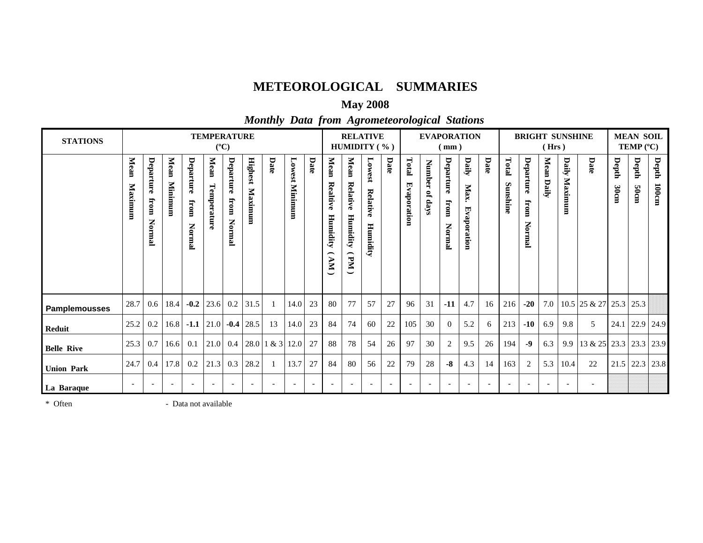## **METEOROLOGICAL SUMMARIES**

## **May 2008**

## *Monthly Data from Agrometeorological Stations*

| <b>STATIONS</b>      |                 |                                    |                 |                             | <b>TEMPERATURE</b>       | $(^{\circ}C)$               |                           |                   |                          |                          |                                      | <b>RELATIVE</b><br>HUMIDITY (%)         |                               |      |                           |                                 | (mm)                        | <b>EVAPORATION</b>           |                          |                   |                             | (Hrs)                    | <b>BRIGHT SUNSHINE</b>   |                          |               | <b>MEAN SOIL</b><br><b>TEMP</b> $(^{\circ}C)$ |                   |
|----------------------|-----------------|------------------------------------|-----------------|-----------------------------|--------------------------|-----------------------------|---------------------------|-------------------|--------------------------|--------------------------|--------------------------------------|-----------------------------------------|-------------------------------|------|---------------------------|---------------------------------|-----------------------------|------------------------------|--------------------------|-------------------|-----------------------------|--------------------------|--------------------------|--------------------------|---------------|-----------------------------------------------|-------------------|
|                      | Mean<br>Maximum | Departure<br>from<br><b>Normal</b> | Mean<br>Minimum | Departure<br>from<br>Normal | Mean<br>Temperature      | Departure<br>from<br>Normal | <b>Highest</b><br>Maximum | Date              | Lowest<br>Minimum        | Date                     | Mean<br>Realtive<br>Humidity<br>(KV) | Mean<br>Relative<br>Humidity<br>⌒<br>Md | Lowest<br>Relativ<br>Humidity | Date | Total<br>Eva<br>aporation | Number<br>$\mathbf{g}$<br>skep. | Departure<br>from<br>Normal | Daily<br>Max.<br>Evaporation | Date                     | Total<br>Sunshine | Departure<br>from<br>Normal | Mean Daily               | Daily<br>Maximum         | Date                     | Depth<br>30cm | Depth<br><b>focm</b>                          | Depth<br>$100$ cm |
| <b>Pamplemousses</b> | 28.7            | 0.6                                | 18.4            | $-0.2$                      | 23.6                     | $0.2\,$                     | 31.5                      |                   | 14.0                     | 23                       | 80                                   | 77                                      | 57                            | 27   | 96                        | 31                              | $-11$                       | 4.7                          | 16                       | 216               | $-20$                       | 7.0                      |                          | $10.5$ 25 & 27 25.3 25.3 |               |                                               |                   |
| <b>Reduit</b>        | 25.2            | 0.2                                | 16.8            | $-1.1$                      | 21.0                     | $-0.4$                      | 28.5                      | 13                | 14.0                     | 23                       | 84                                   | 74                                      | 60                            | 22   | 105                       | 30                              | $\overline{0}$              | 5.2                          | 6                        | 213               | $-10$                       | 6.9                      | 9.8                      | 5                        |               |                                               | 24.1 22.9 24.9    |
| <b>Belle Rive</b>    | 25.3            | 0.7                                | 16.6            | 0.1                         | 21.0                     | 0.4                         |                           | $28.0$ 1 & 3 12.0 |                          | 27                       | 88                                   | 78                                      | 54                            | 26   | 97                        | 30                              | $\overline{2}$              | 9.5                          | 26                       | 194               | $-9$                        | 6.3                      | 9.9                      | $13 & 25$ 23.3 23.3      |               |                                               | 23.9              |
| <b>Union Park</b>    | 24.7            | 0.4                                | 17.8            | 0.2                         | 21.3                     | 0.3                         | 28.2                      |                   | 13.7                     | 27                       | 84                                   | 80                                      | 56                            | 22   | 79                        | 28                              | $-8$                        | 4.3                          | 14                       | 163               | 2                           | 5.3                      | 10.4                     | 22                       |               | $21.5$ 22.3                                   | 23.8              |
| La Baraque           |                 | $\overline{\phantom{a}}$           |                 | $\overline{\phantom{a}}$    | $\overline{\phantom{a}}$ | $\overline{\phantom{a}}$    | $\overline{\phantom{a}}$  |                   | $\overline{\phantom{a}}$ | $\overline{\phantom{a}}$ |                                      |                                         | $\overline{\phantom{a}}$      |      |                           | $\overline{\phantom{a}}$        | $\overline{\phantom{a}}$    |                              | $\overline{\phantom{0}}$ |                   |                             | $\overline{\phantom{a}}$ | $\overline{\phantom{a}}$ | $\overline{\phantom{a}}$ |               |                                               |                   |

\* Often - Data not available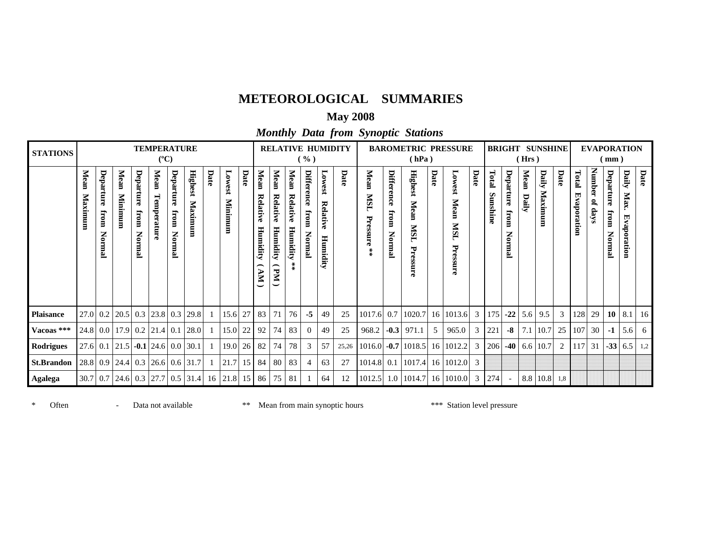## **METEOROLOGICAL SUMMARIES**

## **May 2008**

*Monthly Data from Synoptic Stations*

| <b>STATIONS</b>   |                 |                                    |                 |                             | <b>TEMPERATURE</b><br>$(^{\circ}C)$                       |                              |                        |      |                   |                 |                                                   |                                         |                                                    | ( %)                                 |                                            | <b>RELATIVE HUMIDITY</b> |                                                     |                              | <b>BAROMETRIC PRESSURE</b><br>(hPa)               |      |                                  |      |                   |                             | (Hrs)         | <b>BRIGHT SUNSHINE</b> |      |                          | <b>EVAPORATION</b> | (mm)                        |                              |      |
|-------------------|-----------------|------------------------------------|-----------------|-----------------------------|-----------------------------------------------------------|------------------------------|------------------------|------|-------------------|-----------------|---------------------------------------------------|-----------------------------------------|----------------------------------------------------|--------------------------------------|--------------------------------------------|--------------------------|-----------------------------------------------------|------------------------------|---------------------------------------------------|------|----------------------------------|------|-------------------|-----------------------------|---------------|------------------------|------|--------------------------|--------------------|-----------------------------|------------------------------|------|
|                   | Mean<br>Maximum | Departure<br>from<br><b>Normal</b> | Mean<br>Minimum | Departure<br>from<br>Normal | Mean<br>Temperatur                                        | Departure<br>fromn<br>Normal | Highest<br>Maximum     | Date | Lowest<br>Minimum | Date            | Mean<br>Relative<br>Humidity<br>╭<br>$\mathbf{W}$ | Mean<br>Relative<br>Humidity<br>⌒<br>Md | Mean<br>Relativ<br>O.<br>Humidity<br>$\frac{1}{2}$ | Difference<br>${\rm from}$<br>Normal | Lowest<br>Relativ<br>$\bullet$<br>Humidity | Date                     | Mean<br><b>NISI</b><br>Ę<br>essure<br>$\frac{1}{2}$ | Difference<br>from<br>Normal | <b>Highest</b><br>Mean<br><b>TSIN</b><br>Pressure | Date | Lowest<br>Mean<br>SM<br>Pressure | Date | Total<br>Sunshine | Departure<br>from<br>Normal | Mean<br>Daily | Daily<br>Maximum       | Date | Total<br>国<br>raporation | Iumber<br>of days  | Departure<br>from<br>Normal | Daily<br>Max.<br>Evaporation | Date |
| <b>Plaisance</b>  | $27.0$ 0.2      |                                    | 20.5            | 0.3                         | 23.8 0.3                                                  |                              | 29.8                   |      | 15.6              | 27              | 83                                                | 71                                      | 76                                                 | $-5$                                 | 49                                         | 25                       | 1017.6                                              | 0.7                          | 1020.7                                            |      | 16 1013.6                        | 3    | 175               | $-22$                       | 5.6           | 9.5                    | 3    | 128                      | 29                 | 10                          | 8.1                          | 16   |
| Vacoas ***        |                 |                                    |                 |                             | 24.8 0.0 17.9 0.2 21.4 0.1                                |                              | 28.0                   |      | 15.0              | 22              | 92                                                | 74                                      | 83                                                 | $\theta$                             | 49                                         | 25                       | 968.2                                               | $-0.3$                       | 971.1                                             | 5    | 965.0                            | 3    | 221               | $-8$                        |               | $7.1 \,   \, 10.7$     |      | 25   107                 | 30                 | $-1$                        | 5.6                          | - 6  |
| <b>Rodrigues</b>  | $27.6$ 0.1      |                                    |                 |                             | $\vert 21.5 \vert$ -0.1 $\vert 24.6 \vert 0.0 \vert 30.1$ |                              |                        |      | 19.0              | 26              | 82                                                | 74                                      | 78                                                 | 3                                    | 57                                         | 25,26                    | 1016.0                                              |                              | $-0.7$   1018.5                                   |      | $16$   1012.2                    | 3    | 206               |                             |               | $-40$ 6.6 10.7         | 2    | 117                      | 31                 | $-33$                       | 6.5                          | 1,2  |
| <b>St.Brandon</b> | 28.8 0.9        |                                    | 24.4            |                             |                                                           |                              | $0.3$ 26.6 0.6 31.7    |      | 21.7              | 15 <sup>1</sup> | 84                                                | 80                                      | 83                                                 | 4                                    | 63                                         | 27                       | 1014.8                                              | 0.1                          | 1017.4                                            |      | 16 1012.0 3                      |      |                   |                             |               |                        |      |                          |                    |                             |                              |      |
| <b>Agalega</b>    | $30.7$ 0.7      |                                    |                 |                             |                                                           |                              | 24.6 0.3 27.7 0.5 31.4 |      | $16$   21.8       | 15              | 86                                                | 75                                      | 81                                                 |                                      | 64                                         | 12                       | 1012.5                                              |                              | $1.0$   1014.7   16   1010.0                      |      |                                  | 3    | 274               |                             |               | 8.8 10.8               | 1,8  |                          |                    |                             |                              |      |

\* Often - Data not available \*\* Mean from main synoptic hours \*\* Station level pressure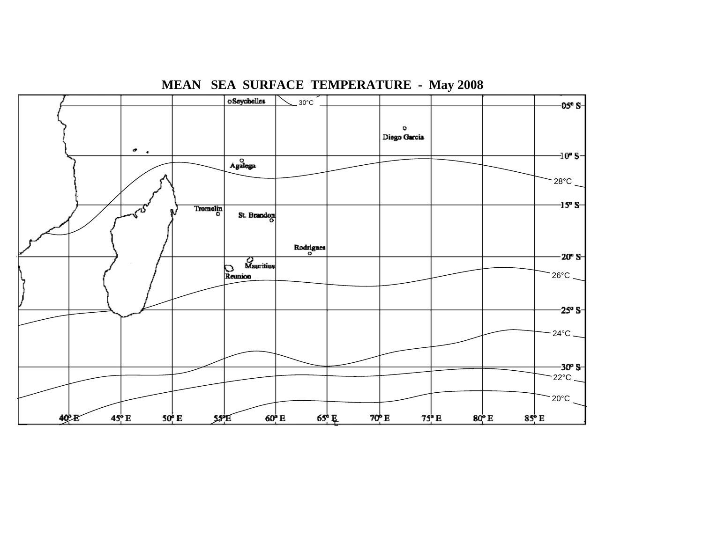

**MEAN SEA SURFACE TEMPERATURE - May 2008**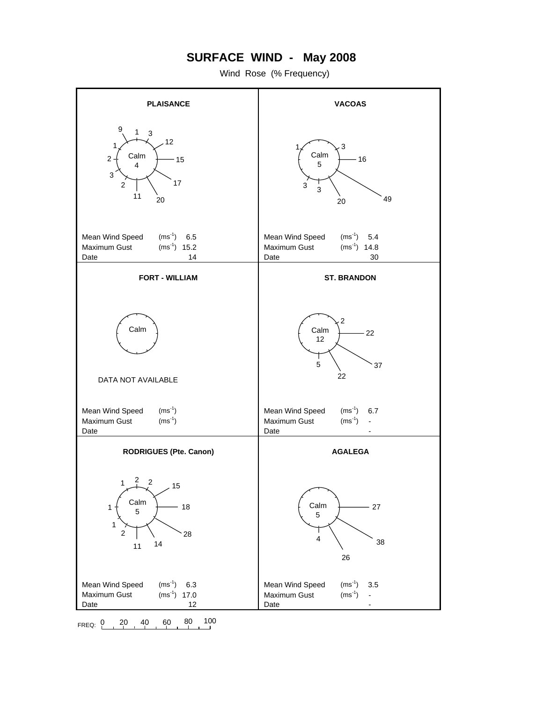## **SURFACE WIND - May 2008**

Wind Rose (% Frequency)